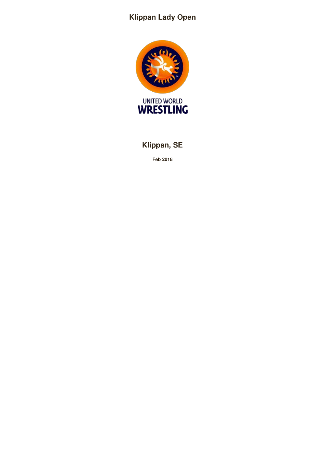# **Klippan Lady Open**



# **Klippan, SE**

**Feb 2018**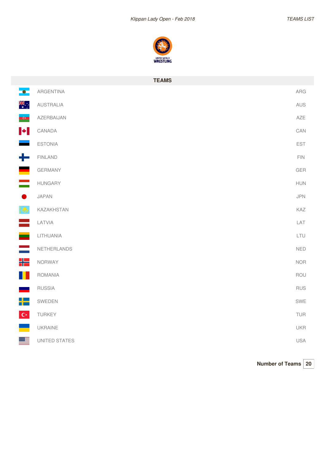

|                          | <b>TEAMS</b>   |             |
|--------------------------|----------------|-------------|
| $\bullet$                | ARGENTINA      | ${\sf ARG}$ |
| ्रें हैं।<br>संदर्भ      | AUSTRALIA      | AUS         |
| $\overline{\phantom{a}}$ | AZERBAIJAN     | AZE         |
| $\blacktriangleright$    | CANADA         | CAN         |
|                          | <b>ESTONIA</b> | EST         |
| ╋                        | <b>FINLAND</b> | FIN         |
| <u>e a</u>               | GERMANY        | GER         |
|                          | <b>HUNGARY</b> | <b>HUN</b>  |
| $\bullet$                | JAPAN          | JPN         |
| <u>io</u>                | KAZAKHSTAN     | KAZ         |
| ÷                        | LATVIA         | LAT         |
| ÷.                       | LITHUANIA      | LTU         |
|                          | NETHERLANDS    | <b>NED</b>  |
| ₩                        | NORWAY         | <b>NOR</b>  |
| H.                       | <b>ROMANIA</b> | ROU         |
| <b>Contract</b>          | <b>RUSSIA</b>  | <b>RUS</b>  |
| ╇                        | SWEDEN         | SWE         |
| $ C^* $                  | TURKEY         | TUR         |
|                          | UKRAINE        | <b>UKR</b>  |
| ▓▆                       | UNITED STATES  | USA         |

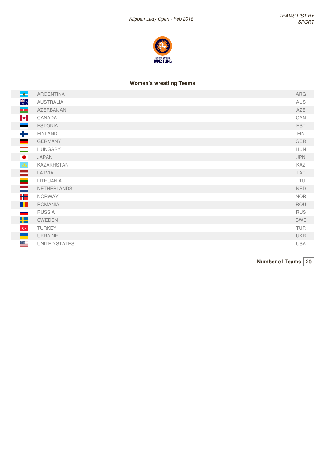

## **Women's wrestling Teams**

| $\overline{\phantom{a}}$ | <b>ARGENTINA</b>  | ARG        |
|--------------------------|-------------------|------------|
| ्रोह<br>∗                | <b>AUSTRALIA</b>  | AUS        |
| $\overline{\phantom{a}}$ | AZERBAIJAN        | <b>AZE</b> |
| $\blacktriangleright$    | CANADA            | CAN        |
|                          | <b>ESTONIA</b>    | <b>EST</b> |
| كإد                      | <b>FINLAND</b>    | FIN.       |
| <b>Contract</b>          | <b>GERMANY</b>    | <b>GER</b> |
| $\overline{\phantom{a}}$ | <b>HUNGARY</b>    | <b>HUN</b> |
| $\bullet$                | <b>JAPAN</b>      | <b>JPN</b> |
| <u>  9</u>               | <b>KAZAKHSTAN</b> | KAZ        |
| $\equiv$                 | LATVIA            | LAT        |
| $\equiv$                 | LITHUANIA         | LTU        |
| $\equiv$                 | NETHERLANDS       | <b>NED</b> |
| ٢E                       | <b>NORWAY</b>     | <b>NOR</b> |
| <u>i Li</u>              | <b>ROMANIA</b>    | ROU        |
| <b>Contract</b>          | <b>RUSSIA</b>     | <b>RUS</b> |
| 5—                       | SWEDEN            | SWE        |
| $ C^* $                  | <b>TURKEY</b>     | TUR        |
|                          | <b>UKRAINE</b>    | <b>UKR</b> |
| ≝                        | UNITED STATES     | <b>USA</b> |

**Number of Teams 20**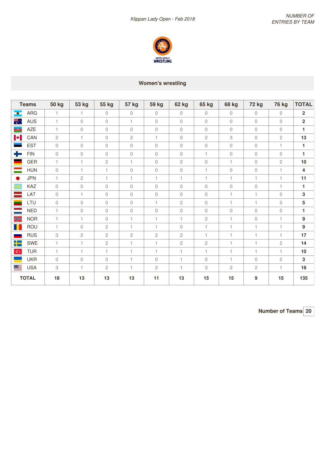

## **Women's wrestling**

| <b>Teams</b>                           | <b>50 kg</b> | <b>53 kg</b> | 55 kg          | <b>57 kg</b> | 59 kg        | 62 kg          | 65 kg          | <b>68 kg</b>   | <b>72 kg</b> | 76 kg          | <b>TOTAL</b>     |
|----------------------------------------|--------------|--------------|----------------|--------------|--------------|----------------|----------------|----------------|--------------|----------------|------------------|
| ARG<br>$\bullet$ .                     | $\mathbf{1}$ | $\mathbf{1}$ | $\mathbf{0}$   | $\mathbf{0}$ | $\circ$      | $\circ$        | $\circ$        | $\circ$        | $\circ$      | $\circledcirc$ | $\overline{2}$   |
| $rac{2}{\sqrt{K}}$<br><b>AUS</b>       | $\mathbf{1}$ | $\mathbf{0}$ | 0              | $\mathbf{1}$ | $\circ$      | $\overline{0}$ | $\circ$        | $\overline{0}$ | $\circ$      | $\mathbf{0}$   | $\overline{2}$   |
| <b>AZE</b><br>$\overline{\phantom{a}}$ | $\mathbf{1}$ | $\mathbf{0}$ | 0              | $\mathbf{0}$ | $\mathbf 0$  | $\mathbf{0}$   | $\circ$        | $\mathbf{0}$   | $\mathbf{0}$ | $\mathbf{0}$   | $\mathbf{1}$     |
| $\blacktriangleright$<br>CAN           | $\mathbf{2}$ | $\mathbf{1}$ | 0              | $\mathbf{2}$ | $\mathbf{1}$ | $\circledcirc$ | $\mathbf{2}$   | 3              | $\mathbf 0$  | 2              | 13               |
| <b>EST</b>                             | $\mathbf{0}$ | $\mathbf{0}$ | $\Omega$       | $\mathbf{0}$ | $\circ$      | $\circ$        | $\circ$        | $\mathbf{0}$   | $\mathbf{0}$ | $\mathbf{1}$   | $\mathbf{1}$     |
| -1<br><b>FIN</b>                       | $\mathbf{0}$ | $\mathbf{0}$ | 0              | $\mathbf{0}$ | $\circ$      | $\mathbf{0}$   | $\mathbf{1}$   | $\circledcirc$ | $\mathbf{0}$ | $\mathbf{0}$   | $\mathbf{1}$     |
| GER                                    | 1            | $\mathbf{1}$ | $\overline{c}$ | $\mathbf{1}$ | $\mathbf 0$  | $\mathbf{2}$   | $\circ$        | $\mathbf{1}$   | $\mathbf 0$  | $\overline{c}$ | 10               |
| <b>HUN</b>                             | $\mathbf{0}$ | $\mathbf{1}$ | $\mathbf{1}$   | $\mathbf{0}$ | $\circ$      | $\mathbf{0}$   | $\mathbf{1}$   | 0              | $\mathbf 0$  | $\mathbf{1}$   | 4                |
| <b>JPN</b><br>$\bullet$                | $\mathbf{1}$ | $\mathbf{2}$ | $\mathbf{1}$   | $\mathbf{1}$ | $\mathbf{1}$ | $\mathbf{1}$   | $\mathbf{1}$   | 1              | $\mathbf{1}$ | $\mathbf{1}$   | 11               |
| KAZ                                    | $\mathbf{0}$ | $\mathbf{0}$ | $\Omega$       | $\mathbf{0}$ | $\mathbf 0$  | $\mathbf{0}$   | $\circ$        | 0              | $\mathbf 0$  | $\mathbf{1}$   | $\mathbf{1}$     |
| LAT                                    | $\mathbf{0}$ | $\mathbf{1}$ | $\mathbf{0}$   | $\mathbf{0}$ | $\mathbf{0}$ | $\mathbf{0}$   | $\circ$        | 1              | $\mathbf{1}$ | $\circ$        | 3                |
| LTU                                    | $\mathbf{0}$ | $\mathbf{0}$ | $\Omega$       | $\mathbf{0}$ | $\mathbf{1}$ | $\mathbf{2}$   | $\circ$        | $\mathbf{1}$   | $\mathbf{1}$ | $\circ$        | 5                |
| <b>NED</b>                             | $\mathbf{1}$ | $\mathbf{0}$ | $\overline{0}$ | $\mathbf{0}$ | $\mathbf 0$  | $\mathbf{0}$   | $\overline{0}$ | $\mathbf{0}$   | $\mathbf{0}$ | $\mathbf{0}$   | $\mathbf{1}$     |
| HE<br><b>NOR</b>                       | 1            | $\mathbf{1}$ | $\Omega$       | $\mathbf{1}$ | $\mathbf{1}$ | $\mathbf{1}$   | $\mathbf{2}$   | $\mathbf{1}$   | $\mathbf 0$  | $\mathbf{1}$   | $\boldsymbol{9}$ |
| ROU                                    | 1            | $\mathbf{0}$ | $\mathbf{2}$   | $\mathbf{1}$ | 1            | $\mathbf{0}$   | $\mathbf{1}$   | 1              | $\mathbf{1}$ | $\mathbf{1}$   | 9                |
| <b>RUS</b>                             | 3            | $\sqrt{2}$   | $\mathbf{2}$   | $\sqrt{2}$   | $\mathbf{2}$ | $\mathbf{2}$   | $\mathbf{1}$   | $\mathbf{1}$   | $\mathbf{1}$ | $\mathbf{1}$   | 17               |
| ▙▙▆<br>SWE                             | 1            | $\mathbf{1}$ | $\overline{c}$ | $\mathbf{1}$ | $\mathbf{1}$ | $\mathbf{2}$   | $\mathbf{2}$   | 1              | $\mathbf{1}$ | $\mathbf{2}$   | 14               |
| <b>TUR</b><br>$\mathbf{C}^\star$       | $\mathbf{1}$ | $\mathbf{1}$ | $\mathbf{1}$   | $\mathbf{1}$ | $\mathbf{1}$ | $\mathbf{1}$   | $\mathbf{1}$   | 1.             | $\mathbf{1}$ | $\mathbf{1}$   | 10               |
| <b>UKR</b>                             | $\mathbf{0}$ | $\mathbf{0}$ | 0              | $\mathbf{1}$ | $\mathbf{0}$ | $\mathbf{1}$   | $\mathbf 0$    | 1.             | $\mathbf 0$  | $\circ$        | 3                |
| ≝<br><b>USA</b>                        | 3            | $\mathbf{1}$ | $\overline{c}$ | $\mathbf{1}$ | $\mathbf{2}$ | $\mathbf{1}$   | 3              | $\mathbf{2}$   | $\sqrt{2}$   | $\mathbf{1}$   | 18               |
| <b>TOTAL</b>                           | 18           | 13           | 13             | 13           | 11           | 13             | 15             | 15             | 9            | 15             | 135              |

**Number of Teams 20**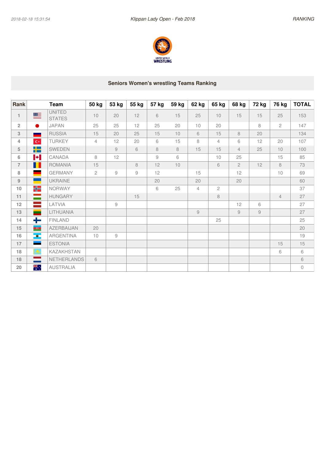

## **Seniors Women's wrestling Teams Ranking**

| <b>Rank</b>    |                          | <b>Team</b>                    | 50 kg          | 53 kg         | 55 kg | 57 kg          | 59 kg | 62 kg          | 65 kg          | 68 kg          | 72 kg       | 76 kg          | <b>TOTAL</b> |
|----------------|--------------------------|--------------------------------|----------------|---------------|-------|----------------|-------|----------------|----------------|----------------|-------------|----------------|--------------|
| 1              | ▇                        | <b>UNITED</b><br><b>STATES</b> | 10             | 20            | 12    | 6              | 15    | 25             | 10             | 15             | 15          | 25             | 153          |
| $\overline{2}$ | $\bullet$                | <b>JAPAN</b>                   | 25             | 25            | 12    | 25             | 20    | 10             | 20             |                | 8           | $\mathbf{2}$   | 147          |
| $\sqrt{3}$     | <b>START</b>             | <b>RUSSIA</b>                  | 15             | 20            | 25    | 15             | 10    | 6              | 15             | 8              | 20          |                | 134          |
| 4              | $\mathbf{C}^\star$       | <b>TURKEY</b>                  | $\overline{4}$ | 12            | 20    | 6              | 15    | 8              | $\overline{4}$ | 6              | 12          | 20             | 107          |
| $\sqrt{5}$     | 무능                       | SWEDEN                         |                | 9             | 6     | 8              | 8     | 15             | 15             | $\overline{4}$ | 25          | 10             | 100          |
| 6              | $\blacktriangleright$    | CANADA                         | 8              | 12            |       | $\overline{9}$ | 6     |                | 10             | 25             |             | 15             | 85           |
| $\overline{7}$ | H                        | <b>ROMANIA</b>                 | 15             |               | 8     | 12             | 10    |                | 6              | $\overline{2}$ | 12          | 8              | 73           |
| 8              |                          | <b>GERMANY</b>                 | $\mathbf{2}$   | $\mathcal G$  | 9     | 12             |       | 15             |                | 12             |             | 10             | 69           |
| 9              |                          | <b>UKRAINE</b>                 |                |               |       | 20             |       | 20             |                | 20             |             |                | 60           |
| 10             | HE                       | <b>NORWAY</b>                  |                |               |       | 6              | 25    | $\overline{4}$ | $\mathbf{2}$   |                |             |                | 37           |
| 11             | $\equiv$                 | <b>HUNGARY</b>                 |                |               | 15    |                |       |                | 8              |                |             | $\overline{4}$ | 27           |
| 12             | $\frac{1}{2}$            | LATVIA                         |                | $\mathcal G$  |       |                |       |                |                | 12             | 6           |                | 27           |
| 13             | -                        | LITHUANIA                      |                |               |       |                |       | 9              |                | 9              | $\hbox{ }9$ |                | 27           |
| 14             | ╇                        | <b>FINLAND</b>                 |                |               |       |                |       |                | 25             |                |             |                | 25           |
| 15             | $\overline{\phantom{a}}$ | <b>AZERBAIJAN</b>              | 20             |               |       |                |       |                |                |                |             |                | 20           |
| 16             | $\bullet$                | ARGENTINA                      | 10             | $\mathcal{G}$ |       |                |       |                |                |                |             |                | 19           |
| 17             | $\sim$                   | <b>ESTONIA</b>                 |                |               |       |                |       |                |                |                |             | 15             | 15           |
| 18             | $\bigcirc$               | <b>KAZAKHSTAN</b>              |                |               |       |                |       |                |                |                |             | 6              | 6            |
| 18             |                          | NETHERLANDS                    | 6              |               |       |                |       |                |                |                |             |                | $6\,$        |
| 20             | ₩.<br>*                  | <b>AUSTRALIA</b>               |                |               |       |                |       |                |                |                |             |                | $\mathbb O$  |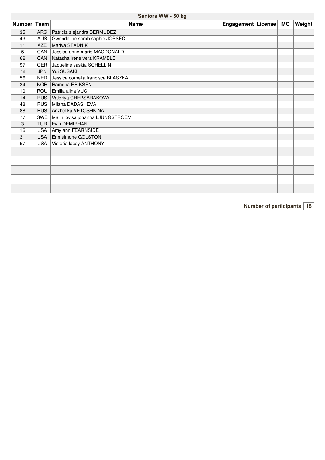## **Seniors WW -50 kg**

| Number Team |            | <b>Name</b>                        | Engagement   License | MC | Weight |
|-------------|------------|------------------------------------|----------------------|----|--------|
| 35          |            | ARG   Patricia alejandra BERMUDEZ  |                      |    |        |
| 43          | <b>AUS</b> | Gwendaline sarah sophie JOSSEC     |                      |    |        |
| 11          | <b>AZE</b> | Mariya STADNIK                     |                      |    |        |
| 5           | CAN        | Jessica anne marie MACDONALD       |                      |    |        |
| 62          | <b>CAN</b> | Natasha irene vera KRAMBLE         |                      |    |        |
| 97          |            | GER Jaqueline saskia SCHELLIN      |                      |    |        |
| 72          | <b>JPN</b> | Yui SUSAKI                         |                      |    |        |
| 56          | <b>NED</b> | Jessica cornelia francisca BLASZKA |                      |    |        |
| 34          |            | NOR   Ramona ERIKSEN               |                      |    |        |
| 10          | <b>ROU</b> | Emilia alina VUC                   |                      |    |        |
| 14          | <b>RUS</b> | Valeriya CHEPSARAKOVA              |                      |    |        |
| 48          | <b>RUS</b> | Milana DADASHEVA                   |                      |    |        |
| 88          |            | RUS Anzhelika VETOSHKINA           |                      |    |        |
| 77          | <b>SWE</b> | Malin lovisa johanna LJUNGSTROEM   |                      |    |        |
| 3           | <b>TUR</b> | <b>Evin DEMIRHAN</b>               |                      |    |        |
| 16          | <b>USA</b> | Amy ann FEARNSIDE                  |                      |    |        |
| 31          | <b>USA</b> | Erin simone GOLSTON                |                      |    |        |
| 57          | <b>USA</b> | Victoria lacey ANTHONY             |                      |    |        |
|             |            |                                    |                      |    |        |
|             |            |                                    |                      |    |        |
|             |            |                                    |                      |    |        |
|             |            |                                    |                      |    |        |
|             |            |                                    |                      |    |        |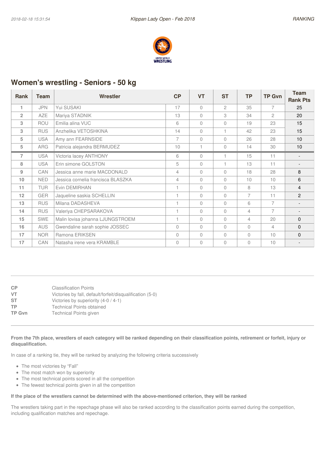

## **Women's wrestling - Seniors - 50 kg**

| <b>Rank</b>    | Team       | Wrestler                           | CP       | <b>VT</b> | <b>ST</b>      | <b>TP</b> | <b>TP Gvn</b>  | <b>Team</b><br><b>Rank Pts</b> |
|----------------|------------|------------------------------------|----------|-----------|----------------|-----------|----------------|--------------------------------|
| 1              | <b>JPN</b> | Yui SUSAKI                         | 17       | $\Omega$  | $\mathfrak{D}$ | 35        | $\overline{7}$ | 25                             |
| $\overline{2}$ | <b>AZE</b> | Mariya STADNIK                     | 13       | $\Omega$  | 3              | 34        | $\mathbf{2}$   | 20                             |
| 3              | ROU        | Emilia alina VUC                   | 6        | $\Omega$  | $\Omega$       | 19        | 23             | 15                             |
| 3              | <b>RUS</b> | Anzhelika VETOSHKINA               | 14       | $\Omega$  |                | 42        | 23             | 15                             |
| 5              | <b>USA</b> | Amy ann FEARNSIDE                  | 7        | $\Omega$  | $\bigcap$      | 26        | 28             | 10                             |
| 5              | <b>ARG</b> | Patricia alejandra BERMUDEZ        | 10       |           | $\Omega$       | 14        | 30             | 10                             |
| $\overline{7}$ | <b>USA</b> | Victoria lacey ANTHONY             | 6        | $\Omega$  |                | 15        | 11             |                                |
| 8              | <b>USA</b> | Erin simone GOLSTON                | 5        | $\Omega$  |                | 13        | 11             | $\overline{\phantom{a}}$       |
| 9              | CAN        | Jessica anne marie MACDONALD       | 4        | $\Omega$  | $\Omega$       | 18        | 28             | 8                              |
| 10             | <b>NED</b> | Jessica cornelia francisca BLASZKA | 4        | $\Omega$  | $\Omega$       | 10        | 10             | 6                              |
| 11             | <b>TUR</b> | Evin DEMIRHAN                      |          | $\Omega$  | $\Omega$       | 8         | 13             | $\overline{4}$                 |
| 12             | <b>GER</b> | Jaqueline saskia SCHELLIN          |          | $\Omega$  | $\Omega$       | 7         | 11             | $\overline{c}$                 |
| 13             | <b>RUS</b> | Milana DADASHEVA                   |          | $\Omega$  | $\Omega$       | 6         | $\overline{7}$ |                                |
| 14             | <b>RUS</b> | Valeriya CHEPSARAKOVA              | 1        | $\Omega$  | $\Omega$       | 4         | $\overline{7}$ | $\overline{\phantom{a}}$       |
| 15             | <b>SWE</b> | Malin lovisa johanna LJUNGSTROEM   |          | $\Omega$  | $\Omega$       | 4         | 20             | 0                              |
| 16             | <b>AUS</b> | Gwendaline sarah sophie JOSSEC     | $\Omega$ | $\Omega$  | $\Omega$       | $\Omega$  | 4              | 0                              |
| 17             | <b>NOR</b> | Ramona ERIKSEN                     | $\Omega$ | $\Omega$  | $\Omega$       | $\Omega$  | 10             | 0                              |
| 17             | CAN        | Natasha irene vera KRAMBLE         | $\Omega$ | $\Omega$  | $\Omega$       | $\theta$  | 10             |                                |

**CP** Classification Points **VT** Victories by fall, default/forfeit/disqualification (5-0) **ST** Victories by superiority (4-0 / 4-1) **TP** Technical Points obtained<br> **TP Gvn** Technical Points given **Technical Points given** 

From the 7th place, wrestlers of each category will be ranked depending on their classification points, retirement or forfeit, injury or **disqualification.**

In case of a ranking tie, they will be ranked by analyzing the following criteria successively

- The most victories by "Fall"
- The most match won by superiority
- The most technical points scored in all the competition
- The fewest technical points given in all the competition

#### If the place of the wrestlers cannot be determined with the above-mentioned criterion, they will be ranked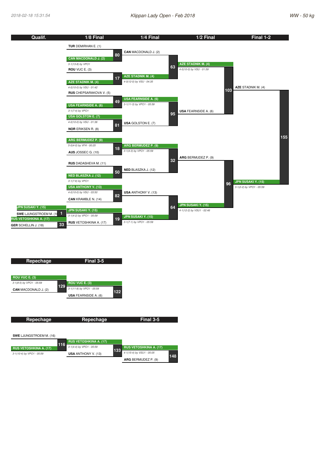

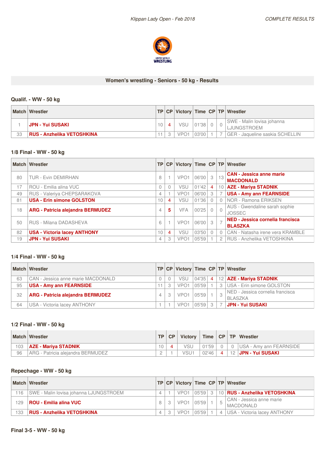

#### **Women's wrestling - Seniors - 50 kg - Results**

## **Qualif. - WW -50 kg**

|    | <b>Match Wrestler</b>             |                 |                  |       |  | TP   CP   Victory   Time   CP   TP   Wrestler |
|----|-----------------------------------|-----------------|------------------|-------|--|-----------------------------------------------|
|    | ⊣JPN - Yui SUSAKI                 | 10 <sup>°</sup> | VSU              | 01'38 |  | SWE - Malin lovisa johanna<br>LJUNGSTROEM     |
| 33 | <b>RUS - Anzhelika VETOSHKINA</b> |                 | VPO <sup>-</sup> | 03'00 |  | GER - Jaqueline saskia SCHELLIN               |

#### **1/8 Final - WW - 50 kg**

|    | <b>Match Wrestler</b>                    |          | TP CP    |                  |       |    |                | Victory   Time   CP   TP   Wrestler                 |
|----|------------------------------------------|----------|----------|------------------|-------|----|----------------|-----------------------------------------------------|
| 80 | <b>TUR - Evin DEMIRHAN</b>               | 8        |          | VPO <sub>1</sub> | 06'00 | -3 | 13             | <b>CAN - Jessica anne marie</b><br><b>MACDONALD</b> |
| 17 | ROU - Emilia alina VUC                   | $\Omega$ | $\Omega$ | VSU              | 01'42 | 4  |                | 10   AZE - Mariya STADNIK                           |
| 49 | RUS - Valeriya CHEPSARAKOVA              | 4        |          | VPO <sub>1</sub> | 06'00 | 3  |                | <b>USA - Amy ann FEARNSIDE</b>                      |
| 81 | <b>USA - Erin simone GOLSTON</b>         | 10       | 4        | VSU              | 01'36 |    |                | NOR - Ramona ERIKSEN                                |
| 18 | <b>ARG - Patricia alejandra BERMUDEZ</b> | 4        | 5        | <b>VFA</b>       | 00'25 |    | $\overline{0}$ | AUS - Gwendaline sarah sophie<br><b>JOSSEC</b>      |
| 50 | RUS - Milana DADASHEVA                   | 6        |          | VPO <sub>1</sub> | 06'00 | -3 |                | NED - Jessica cornelia francisca<br><b>BLASZKA</b>  |
| 82 | <b>USA - Victoria lacey ANTHONY</b>      | 10       | 4        | VSU              | 03'50 |    |                | CAN - Natasha irene vera KRAMBLE                    |
| 19 | <b>JPN - Yui SUSAKI</b>                  | 4        | 3        | VPO <sub>1</sub> | 05'59 |    |                | RUS - Anzhelika VETOSHKINA                          |

## **1/4 Final - WW - 50 kg**

|    | Match Wrestler                     |   |                  |       |                |    | TP   CP   Victory   Time   CP   TP   Wrestler      |
|----|------------------------------------|---|------------------|-------|----------------|----|----------------------------------------------------|
| 63 | CAN - Jessica anne marie MACDONALD |   | VSU              | 04'35 | $\overline{4}$ |    | 12 AZE - Mariya STADNIK                            |
| 95 | USA - Amy ann FEARNSIDE            | 3 | VPO <sub>1</sub> | 05'59 |                |    | 3   USA - Erin simone GOLSTON                      |
| 32 | ARG - Patricia alejandra BERMUDEZ  |   | VPO <sub>1</sub> | 05'59 |                | -3 | NED - Jessica cornelia francisca<br><b>BLASZKA</b> |
| 64 | USA - Victoria lacey ANTHONY       |   | VPO <sub>1</sub> | 05'59 | $\mathcal{R}$  |    | <b>JPN - Yui SUSAKI</b>                            |

#### **1/2 Final - WW - 50 kg**

|     | <b>Match Wrestler</b>             | <b>TP</b> | CP | <b>Victory</b>   | Time CP |                 | <b>TP Wrestler</b>              |
|-----|-----------------------------------|-----------|----|------------------|---------|-----------------|---------------------------------|
| 103 | <b>AZE - Mariya STADNIK</b>       |           |    | √SU              | 01'59   |                 | <b>IUSA - Amy ann FEARNSIDE</b> |
| 96  | ARG - Patricia aleiandra BERMUDEZ |           |    | VSU <sup>+</sup> | 02'46   | 12 <sup>1</sup> | <b>JPN - Yui SUSAKI</b>         |

## **Repechage - WW - 50 kg**

|     | Match   Wrestler                       |   |                  |       |               |   | <b>TP CP Victory Time CP TP Wrestler</b>     |
|-----|----------------------------------------|---|------------------|-------|---------------|---|----------------------------------------------|
| 16  | SWE - Malin Iovisa johanna LJUNGSTROEM |   | VPO <sub>1</sub> | 05'59 | $\mathcal{S}$ |   | 10   RUS - Anzhelika VETOSHKINA              |
| 29  | <b>ROU - Emilia alina VUC</b>          |   | VPO <sub>1</sub> | 05'59 |               |   | CAN - Jessica anne marie<br><b>MACDONALD</b> |
| 133 | <b>RUS - Anzhelika VETOSHKINA</b>      | 4 | VPO <sub>1</sub> | 05'59 |               | 4 | USA - Victoria lacey ANTHONY                 |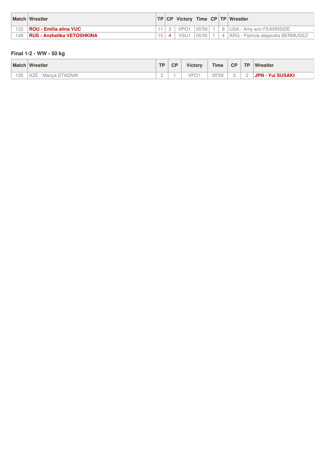|     | <b>Match Wrestler</b>             |  |                  |       |  | TP   CP   Victory   Time   CP   TP   Wrestler |
|-----|-----------------------------------|--|------------------|-------|--|-----------------------------------------------|
| 122 | <b>ROU - Emilia alina VUC</b>     |  | VPO <sub>1</sub> | 05'59 |  | 8   USA - Amy ann FEARNSIDE                   |
| 148 | <b>RUS - Anzhelika VETOSHKINA</b> |  | VSU <sup>1</sup> | 05'05 |  | 4   ARG - Patricia alejandra BERMUDEZ         |

#### **Final 1-2 - WW -50 kg**

|                    | <b>Match Wrestler</b>                             | <b>TD</b> | <b>CP</b> | <b>Victory</b>     | <b>Time</b> | CP | <b>TP</b>                | Wrestler             |
|--------------------|---------------------------------------------------|-----------|-----------|--------------------|-------------|----|--------------------------|----------------------|
| $- -$<br>h h<br>◡◡ | TADNIK<br>Mariya<br>A<br>$\overline{\phantom{a}}$ | <u>_</u>  |           | VPO<br>$\check{~}$ | 05'59       |    | $\overline{\phantom{a}}$ | ⊦Yui SUSAKI<br>JPN - |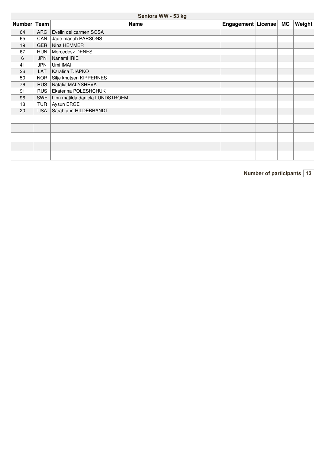**Seniors WW -53 kg**

| Number Team |            | <b>Name</b>                     | Engagement   License   MC |  | <b>Weight</b> |
|-------------|------------|---------------------------------|---------------------------|--|---------------|
| 64          | <b>ARG</b> | Evelin del carmen SOSA          |                           |  |               |
| 65          | CAN        | Jade mariah PARSONS             |                           |  |               |
| 19          | <b>GER</b> | Nina HEMMER                     |                           |  |               |
| 67          | <b>HUN</b> | Mercedesz DENES                 |                           |  |               |
| 6           | <b>JPN</b> | Nanami IRIE                     |                           |  |               |
| 41          | JPN        | Umi IMAI                        |                           |  |               |
| 26          | <b>LAT</b> | Karalina TJAPKO                 |                           |  |               |
| 50          | NOR        | Silje knutsen KIPPERNES         |                           |  |               |
| 76          | <b>RUS</b> | Natalia MALYSHEVA               |                           |  |               |
| 91          |            | RUS   Ekaterina POLESHCHUK      |                           |  |               |
| 96          | SWE        | Linn matilda daniela LUNDSTROEM |                           |  |               |
| 18          | TUR        | Aysun ERGE                      |                           |  |               |
| 20          | <b>USA</b> | Sarah ann HILDEBRANDT           |                           |  |               |
|             |            |                                 |                           |  |               |
|             |            |                                 |                           |  |               |
|             |            |                                 |                           |  |               |
|             |            |                                 |                           |  |               |
|             |            |                                 |                           |  |               |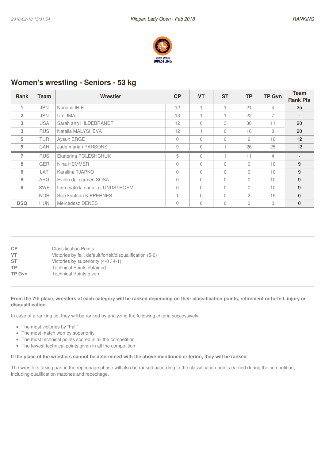

## **Women's wrestling - Seniors - 53 kg**

| <b>Rank</b>    | Team       | Wrestler                        | CP       | <b>VT</b> | <b>ST</b> | TP             | <b>TP Gvn</b>  | Team            |
|----------------|------------|---------------------------------|----------|-----------|-----------|----------------|----------------|-----------------|
|                |            |                                 |          |           |           |                |                | <b>Rank Pts</b> |
|                | <b>JPN</b> | Nanami IRIE                     | 12       |           |           | 21             | 4              | 25              |
| $\overline{2}$ | <b>JPN</b> | Umi IMAI                        | 13       |           |           | 22             | 7              |                 |
| 3              | <b>USA</b> | Sarah ann HILDEBRANDT           | 12       | $\Omega$  | 3         | 30             | 11             | 20              |
| 3              | <b>RUS</b> | Natalia MALYSHEVA               | 12       |           | $\Omega$  | 16             | 8              | 20              |
| 5              | <b>TUR</b> | Aysun ERGE                      | 0        | $\Omega$  | $\Omega$  | $\overline{c}$ | 16             | 12              |
| 5              | CAN        | Jade mariah PARSONS             | 9        | $\Omega$  |           | 26             | 25             | 12              |
| $\overline{7}$ | <b>RUS</b> | Ekaterina POLESHCHUK            | 5        | $\Omega$  |           | 11             | $\overline{4}$ |                 |
| 8              | <b>GER</b> | Nina HEMMER                     | $\theta$ | $\Omega$  | $\bigcap$ | $\bigcap$      | 10             | 9               |
| 8              | LAT        | Karalina TJAPKO                 | $\Omega$ | $\bigcap$ | $\bigcap$ | $\bigcap$      | 10             | 9               |
| 8              | <b>ARG</b> | Evelin del carmen SOSA          | $\Omega$ | $\Omega$  | $\bigcap$ | $\bigcap$      | 10             | 9               |
| 8              | <b>SWE</b> | Linn matilda daniela LUNDSTROEM | $\Omega$ | $\Omega$  | $\bigcap$ | $\Omega$       | 10             | 9               |
|                | <b>NOR</b> | Silje knutsen KIPPERNES         |          | $\Omega$  | $\bigcap$ | $\mathfrak{D}$ | 15             | $\Omega$        |
| <b>DSQ</b>     | <b>HUN</b> | Mercedesz DENES                 | 0        | $\Omega$  | $\bigcap$ | $\Omega$       | $\Omega$       | $\mathbf{0}$    |

| CP            | <b>Classification Points</b>                              |
|---------------|-----------------------------------------------------------|
| VT            | Victories by fall, default/forfeit/disqualification (5-0) |
| ST            | Victories by superiority (4-0 / 4-1)                      |
| ТP            | <b>Technical Points obtained</b>                          |
| <b>TP Gvn</b> | <b>Technical Points given</b>                             |
|               |                                                           |

#### From the 7th place, wrestlers of each category will be ranked depending on their classification points, retirement or forfeit, injury or **disqualification.**

In case of a ranking tie, they will be ranked by analyzing the following criteria successively

- The most victories by "Fall"
- The most match won by superiority
- The most technical points scored in all the competition
- The fewest technical points given in all the competition

#### If the place of the wrestlers cannot be determined with the above-mentioned criterion, they will be ranked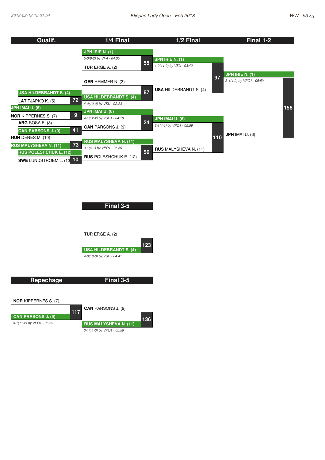

**Final 3-5 TUR** ERGE A. (2) **USA HILDEBRANDT S. (4)** *4-0(10-0) by VSU - 04:41* **123**

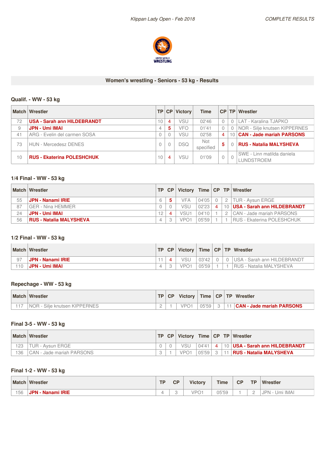

## **Women's wrestling - Seniors - 53 kg - Results**

## **Qualif. - WW -53 kg**

|    | Match Wrestler                     | TP.      | CP | <b>Victory</b> | <b>Time</b>             |              |    | CP TP Wrestler                           |
|----|------------------------------------|----------|----|----------------|-------------------------|--------------|----|------------------------------------------|
| 72 | <b>USA - Sarah ann HILDEBRANDT</b> | 0        | 4  | VSU            | 02'46                   |              |    | LAT - Karalina TJAPKO                    |
| 9  | <b>JPN - Umi IMAI</b>              |          | 5  | <b>VFC</b>     | 01'41                   |              |    | NOR - Silje knutsen KIPPERNES            |
| 41 | ARG - Evelin del carmen SOSA       |          |    | VSU            | 02'58                   | 4            | 10 | <b>CAN - Jade mariah PARSONS</b>         |
| 73 | <b>HUN - Mercedesz DENES</b>       |          |    | <b>DSQ</b>     | <b>Not</b><br>specified | 5            |    | <b>RUS - Natalia MALYSHEVA</b>           |
| 10 | <b>RUS - Ekaterina POLESHCHUK</b>  | $\Omega$ | 4  | VSU            | 01'09                   | $\mathbf{0}$ |    | SWE - Linn matilda daniela<br>LUNDSTROEM |

## **1/4 Final - WW - 53 kg**

|    | Match Wrestler                 | TP | CP. |                  |           |    | Victory   Time   CP   TP   Wrestler |
|----|--------------------------------|----|-----|------------------|-----------|----|-------------------------------------|
| 55 | JPN - Nanami IRIE              | 6  |     | <b>VFA</b>       | 04'05     | 2  | TUR - Avsun ERGE                    |
| 87 | GER - Nina HEMMER              |    |     | <b>VSU</b>       | 02'23     | 10 | <b>USA - Sarah ann HILDEBRANDT</b>  |
| 24 | .JPN - Umi IMAI                |    |     | VSU <sub>1</sub> | $04'10_1$ |    | CAN - Jade mariah PARSONS           |
| 56 | <b>RUS - Natalia MALYSHEVA</b> | 4  |     | VPO1             | 05'59     |    | RUS - Ekaterina POLESHCHUK          |

#### **1/2 Final - WW - 53 kg**

|    | <b>Match Wrestler</b> |   |  | CP <sup>'</sup><br>Victory |       |  | Time   CP   TP   Wrestler      |  |  |  |
|----|-----------------------|---|--|----------------------------|-------|--|--------------------------------|--|--|--|
| 97 | JPN - Nanami IRIE     |   |  |                            | 03'42 |  | USA - Sarah ann HILDEBRANDT    |  |  |  |
| 10 | JPN - Umi IMAI        | ⊥ |  | VPO1                       | 05'59 |  | <b>RUS - Natalia MALYSHEVA</b> |  |  |  |

## **Repechage - WW - 53 kg**

| <b>Match</b> | Wrestler                              | TP.                      | $CP+$ | <b>Victory</b> | <b>Time</b> |        | CP   TP   Wrestler               |
|--------------|---------------------------------------|--------------------------|-------|----------------|-------------|--------|----------------------------------|
|              | Silie knutsen KIPPERNES<br><b>NOR</b> | $\overline{\phantom{a}}$ |       | <b>VPC</b>     | 05'59       | $\cap$ | <b>CAN - Jade mariah PARSONS</b> |

#### **Final 3-5 - WW -53 kg**

|     | <b>Match Wrestler</b>     | TP. | CP | Victory $\vert$  |             |   |    | Time   CP   TP   Wrestler        |
|-----|---------------------------|-----|----|------------------|-------------|---|----|----------------------------------|
| '23 | TUR - Avsun ERGE          |     |    | VSU              | $04'41$   4 |   |    | 10   USA - Sarah ann HILDEBRANDT |
| 36  | CAN - Jade mariah PARSONS |     |    | VPO <sub>1</sub> | 05'59       | 3 | 11 | <b>RUS - Natalia MALYSHEVA</b>   |

## **Final 1-2 - WW -53 kg**

| <b>Match</b> | Wrestler                    | TD.<br>. . | $\cap$<br>UI             | <b>Victory</b> | <b>Time</b> | CP | <b>TP</b>                | Wrestler                                |
|--------------|-----------------------------|------------|--------------------------|----------------|-------------|----|--------------------------|-----------------------------------------|
| 56           | JPN -<br><b>Nanami IRIE</b> |            | $\overline{\phantom{a}}$ | VPO<br>$\sim$  | 05'59       |    | $\overline{\phantom{a}}$ | <b>IMAI</b><br>JPN <sup>.</sup><br>-Imi |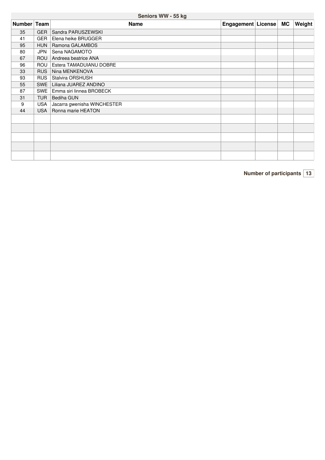## **Seniors WW -55 kg**

| Number Team |            | <b>Name</b>                 | Engagement License | <b>MC</b> | Weight |
|-------------|------------|-----------------------------|--------------------|-----------|--------|
| 35          | <b>GER</b> | Sandra PARUSZEWSKI          |                    |           |        |
| 41          | GER        | Elena heike BRUGGER         |                    |           |        |
| 95          | <b>HUN</b> | Ramona GALAMBOS             |                    |           |        |
| 80          | JPN        | Sena NAGAMOTO               |                    |           |        |
| 67          | <b>ROU</b> | Andreea beatrice ANA        |                    |           |        |
| 96          | ROU        | Estera TAMADUIANU DOBRE     |                    |           |        |
| 33          | <b>RUS</b> | Nina MENKENOVA              |                    |           |        |
| 93          | <b>RUS</b> | Stalvira ORSHUSH            |                    |           |        |
| 55          | <b>SWE</b> | Liliana JUAREZ ANDINO       |                    |           |        |
| 87          | SWE        | Emma siri linnea BROBECK    |                    |           |        |
| 31          | <b>TUR</b> | <b>Bediha GUN</b>           |                    |           |        |
| 9           | <b>USA</b> | Jacarra gwenisha WINCHESTER |                    |           |        |
| 44          | <b>USA</b> | Ronna marie HEATON          |                    |           |        |
|             |            |                             |                    |           |        |
|             |            |                             |                    |           |        |
|             |            |                             |                    |           |        |
|             |            |                             |                    |           |        |
|             |            |                             |                    |           |        |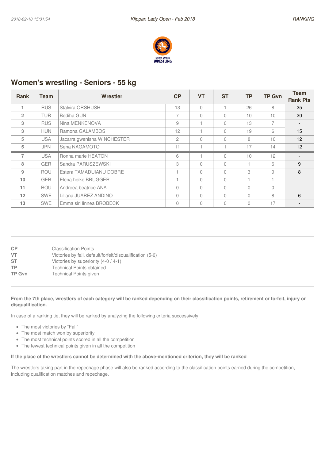

## **Women's wrestling - Seniors - 55 kg**

| <b>Rank</b>    | Team       | <b>Wrestler</b>             | CP             | <b>VT</b> | <b>ST</b>    | TP        | <b>TP Gvn</b>  | Team            |
|----------------|------------|-----------------------------|----------------|-----------|--------------|-----------|----------------|-----------------|
|                |            |                             |                |           |              |           |                | <b>Rank Pts</b> |
|                | <b>RUS</b> | Stalvira ORSHUSH            | 13             | 0         |              | 26        | 8              | 25              |
| $\overline{2}$ | <b>TUR</b> | Bediha GUN                  | 7              | 0         | $\Omega$     | 10        | 10             | 20              |
| 3              | <b>RUS</b> | Nina MENKENOVA              | 9              |           | $\Omega$     | 13        | $\overline{7}$ |                 |
| 3              | <b>HUN</b> | Ramona GALAMBOS             | 12             |           | $\Omega$     | 19        | 6              | 15              |
| 5              | USA.       | Jacarra gwenisha WINCHESTER | $\overline{c}$ | 0         | $\Omega$     | 8         | 10             | 12 <sup>2</sup> |
| 5              | <b>JPN</b> | Sena NAGAMOTO               | 11             |           |              | 17        | 14             | 12              |
| $\overline{7}$ | <b>USA</b> | Ronna marie HEATON          | 6              |           | $\cap$       | 10        | 12             |                 |
| 8              | <b>GER</b> | Sandra PARUSZEWSKI          | 3              | 0         | $\cap$       | Н         | 6              | 9               |
| 9              | <b>ROU</b> | Estera TAMADUIANU DOBRE     |                | $\Omega$  | $\cap$       | 3         | 9              | 8               |
| 10             | <b>GER</b> | Elena heike BRUGGER         |                | 0         | $\cap$       | 4         |                |                 |
| 11             | <b>ROU</b> | Andreea beatrice ANA        | $\Omega$       | 0         | $\cap$       | $\bigcap$ | $\bigcap$      |                 |
| 12             | <b>SWE</b> | Liliana JUAREZ ANDINO       | $\Omega$       | 0         | <sup>1</sup> | $\bigcap$ | 8              | 6               |
| 13             | <b>SWE</b> | Emma siri linnea BROBECK    | $\Omega$       | 0         | $\cap$       | $\bigcap$ | 17             |                 |

| <b>CP</b>     | <b>Classification Points</b>                              |
|---------------|-----------------------------------------------------------|
| VT            | Victories by fall, default/forfeit/disqualification (5-0) |
| ST            | Victories by superiority (4-0 / 4-1)                      |
| ТP            | <b>Technical Points obtained</b>                          |
| <b>TP Gvn</b> | Technical Points given                                    |
|               |                                                           |

#### From the 7th place, wrestlers of each category will be ranked depending on their classification points, retirement or forfeit, injury or **disqualification.**

In case of a ranking tie, they will be ranked by analyzing the following criteria successively

- The most victories by "Fall"
- The most match won by superiority
- The most technical points scored in all the competition
- The fewest technical points given in all the competition

#### If the place of the wrestlers cannot be determined with the above-mentioned criterion, they will be ranked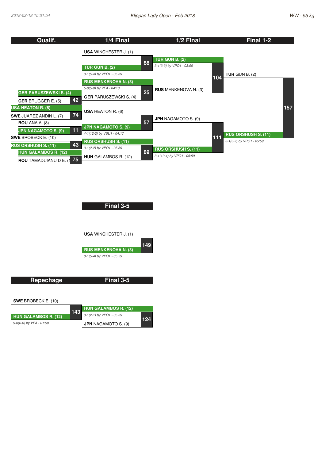| Qualif.                              | 1/4 Final                     |    | 1/2 Final                   |     | Final 1-2                  |     |
|--------------------------------------|-------------------------------|----|-----------------------------|-----|----------------------------|-----|
|                                      | <b>USA WINCHESTER J. (1)</b>  |    |                             |     |                            |     |
|                                      |                               | 88 | <b>TUR GUN B. (2)</b>       |     |                            |     |
|                                      | <b>TUR GUN B. (2)</b>         |    | 3-1(3-3) by VPO1 - 03:00    |     |                            |     |
|                                      | 3-1(5-4) by VPO1 - 05:59      |    |                             | 104 | TUR GUN B. $(2)$           |     |
|                                      | <b>RUS MENKENOVA N. (3)</b>   |    |                             |     |                            |     |
|                                      | 5-0(5-0) by VFA - 04:18       | 25 | <b>RUS</b> MENKENOVA N. (3) |     |                            |     |
| <b>GER PARUSZEWSKI S. (4)</b><br>42  | <b>GER PARUSZEWSKI S. (4)</b> |    |                             |     |                            |     |
| <b>GER BRUGGER E. (5)</b>            |                               |    |                             |     |                            |     |
| <b>USA HEATON R. (6)</b>             | <b>USA HEATON R. (6)</b>      |    |                             |     |                            | 157 |
| 74<br><b>SWE JUAREZ ANDIN L. (7)</b> |                               |    | <b>JPN NAGAMOTO S. (9)</b>  |     |                            |     |
| <b>ROU</b> ANA A. (8)                | <b>JPN NAGAMOTO S. (9)</b>    | 57 |                             |     |                            |     |
| 11<br><b>JPN NAGAMOTO S. (9)</b>     | 4-1(12-2) by VSU1 - 04:17     |    |                             |     | <b>RUS ORSHUSH S. (11)</b> |     |
| <b>SWE BROBECK E. (10)</b>           | <b>RUS ORSHUSH S. (11)</b>    |    |                             | 111 | 3-1(3-2) by VPO1 - 05:59   |     |
| 43<br><b>RUS ORSHUSH S. (11)</b>     | 3-1(2-2) by VPO1 - 05:59      |    | <b>RUS ORSHUSH S. (11)</b>  |     |                            |     |
| <b>HUN GALAMBOS R. (12)</b>          | <b>HUN</b> GALAMBOS R. (12)   | 89 | 3-1(10-4) by VPO1 - 05:59   |     |                            |     |
| 75<br><b>ROU</b> TAMADUIANU D E. (1  |                               |    |                             |     |                            |     |

**Final 3-5**

**USA** WINCHESTER J. (1) **RUS MENKENOVA N. (3)** *3-1(5-4) by VPO1 - 05:59* **149**

**Repechage SWE** BROBECK E. (10) **143 Final 3-5 HUN GALAMBOS R. (12)** *3-1(2-1) by VPO1 - 05:59*

**HUN GALAMBOS R. (12)** *5-0(6-0) by VFA - 01:50* **JPN** NAGAMOTO S. (9) **124**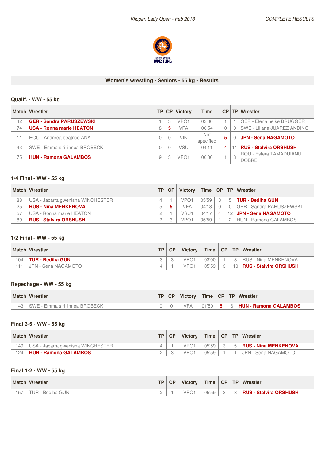

#### **Women's wrestling - Seniors - 55 kg - Results**

## **Qualif. - WW -55 kg**

|    | <b>Match Wrestler</b>           | TP. | CP | <b>Victory</b>   | <b>Time</b>             | CP | <b>TP</b> | Wrestler                                       |
|----|---------------------------------|-----|----|------------------|-------------------------|----|-----------|------------------------------------------------|
| 42 | <b>GER - Sandra PARUSZEWSKI</b> |     | 3  | VPO <sub>1</sub> | 03'00                   |    |           | <b>GER - Elena heike BRUGGER</b>               |
| 74 | <b>USA - Ronna marie HEATON</b> | 8   | 5  | <b>VFA</b>       | 00'54                   |    | 0         | <b>SWE - Liliana JUAREZ ANDINO</b>             |
|    | ROU - Andreea beatrice ANA      |     | 0  | <b>VIN</b>       | <b>Not</b><br>specified | 5. |           | <b>JPN - Sena NAGAMOTO</b>                     |
| 43 | SWE - Emma siri linnea BROBECK  |     |    | VSU              | 04'11                   | 4  |           | <b>RUS - Stalvira ORSHUSH</b>                  |
| 75 | <b>HUN - Ramona GALAMBOS</b>    | 9   | 3  | VPO <sup>-</sup> | 06'00                   |    | 3         | <b>ROU - Estera TAMADUIANU</b><br><b>DOBRE</b> |

## **1/4 Final - WW - 55 kg**

|    | <b>Match Wrestler</b>             | <b>TP</b> | <b>CP</b> | <b>Victory</b>   | Time  | CP   TP         | Wrestler                   |
|----|-----------------------------------|-----------|-----------|------------------|-------|-----------------|----------------------------|
| 88 | USA - Jacarra gwenisha WINCHESTER |           |           | VPO <sub>1</sub> | 05'59 | 5               | TUR - Bediha GUN           |
| 25 | <b>RUS - Nina MENKENOVA</b>       |           | 5         | VFA              | 04'18 |                 | I GER - Sandra PARUSZEWSKI |
| 57 | USA - Ronna marie HEATON          |           |           | VSU <sub>1</sub> | 04'17 | 12 <sup>7</sup> | <b>JPN - Sena NAGAMOTO</b> |
| 89 | <b>RUS - Stalvira ORSHUSH</b>     |           |           | VPO1             | 05'59 |                 | HUN - Ramona GALAMBOS      |

#### **1/2 Final - WW - 55 kg**

|          | <b>Match Wrestler</b>   | <b>TP</b> | <b>CP</b> | <b>Victory</b>   | Time  | CP | <b>TP</b> | <b>Wrestler</b>               |
|----------|-------------------------|-----------|-----------|------------------|-------|----|-----------|-------------------------------|
| 104      | <b>TUR - Bediha GUN</b> |           |           | VPO <sup>+</sup> | 03'00 |    |           | <b>IRUS - Nina MENKENOVA</b>  |
| $-1 - 1$ | JPN - Sena NAGAMOTO     |           |           | VPO <sup>-</sup> | 05'59 |    | 10        | <b>RUS - Stalvira ORSHUSH</b> |

## **Repechage - WW - 55 kg**

| <b>Match</b> | Wrestler                         | <b>TD</b> | <b>CP</b> | <b>Victory</b> |       |    |   | Time   CP   TP   Wrestler    |
|--------------|----------------------------------|-----------|-----------|----------------|-------|----|---|------------------------------|
| 43           | I SWE - Emma siri linnea BROBECK |           |           | $\sqrt{2}$     | 01'50 | -5 | 6 | <b>HUN - Ramona GALAMBOS</b> |

#### **Final 3-5 - WW -55 kg**

|    | <b>Match Wrestler</b>             | <b>TP</b> | <b>CP</b> | <b>Victory</b>   | Time  | CP |    | TP Wrestler                 |
|----|-----------------------------------|-----------|-----------|------------------|-------|----|----|-----------------------------|
| 49 | USA - Jacarra gwenisha WINCHESTER |           |           | VPO <sup>1</sup> | 05'59 |    | -5 | <b>RUS - Nina MENKENOVA</b> |
| 24 | <b>HUN - Ramona GALAMBOS</b>      |           |           | VPO <sub>1</sub> | 05'59 |    |    | I JPN - Sena NAGAMOTO       |

## **Final 1-2 - WW -55 kg**

| <b>Match</b> | Wrestler                                      | TD. | CP | <b>Victory</b>   | <b>Time</b>                       | <b>CP</b> | <b>TP</b> | Wrestler                      |
|--------------|-----------------------------------------------|-----|----|------------------|-----------------------------------|-----------|-----------|-------------------------------|
| 57           | Bediha GUN<br>JR.<br>$\overline{\phantom{a}}$ | -   |    | VPO <sup>.</sup> | $\bigcap F' \subseteq Q$<br>UJ JJ |           |           | <b>RUS - Stalvira ORSHUSH</b> |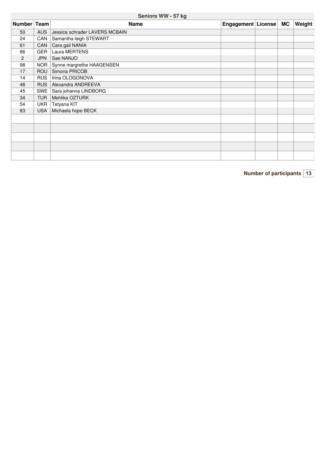## **Seniors WW -57 kg**

| Number Team |            | <b>Name</b>                    | Engagement   License | <b>MC</b> | <b>Weight</b> |
|-------------|------------|--------------------------------|----------------------|-----------|---------------|
| 50          | <b>AUS</b> | Jessica schrader LAVERS MCBAIN |                      |           |               |
| 24          | CAN        | Samantha leigh STEWART         |                      |           |               |
| 61          | <b>CAN</b> | Cara gail NANIA                |                      |           |               |
| 86          | <b>GER</b> | Laura MERTENS                  |                      |           |               |
| 2           | <b>JPN</b> | Sae NANJO                      |                      |           |               |
| 98          | <b>NOR</b> | Synne margrethe HAAGENSEN      |                      |           |               |
| 17          | <b>ROU</b> | Simona PRICOB                  |                      |           |               |
| 14          | <b>RUS</b> | Irina OLOGONOVA                |                      |           |               |
| 46          | <b>RUS</b> | Alexandra ANDREEVA             |                      |           |               |
| 45          | <b>SWE</b> | Sara johanna LINDBORG          |                      |           |               |
| 34          | <b>TUR</b> | Mehlika OZTURK                 |                      |           |               |
| 54          | <b>UKR</b> | Tetyana KIT                    |                      |           |               |
| 83          | <b>USA</b> | Michaela hope BECK             |                      |           |               |
|             |            |                                |                      |           |               |
|             |            |                                |                      |           |               |
|             |            |                                |                      |           |               |
|             |            |                                |                      |           |               |
|             |            |                                |                      |           |               |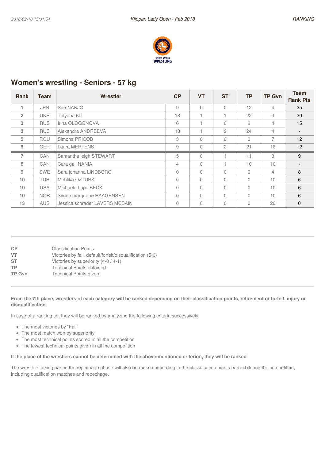

## **Women's wrestling - Seniors - 57 kg**

| <b>Rank</b>    | Team       | Wrestler                       | CP       | <b>VT</b>      | <b>ST</b>      | ТP             | <b>TP Gvn</b>  | <b>Team</b>     |
|----------------|------------|--------------------------------|----------|----------------|----------------|----------------|----------------|-----------------|
|                |            |                                |          |                |                |                |                | <b>Rank Pts</b> |
|                | <b>JPN</b> | Sae NANJO                      | 9        | $\Omega$       | $\bigcap$      | 12             | 4              | 25              |
| $\overline{2}$ | <b>UKR</b> | Tetyana KIT                    | 13       |                |                | 22             | 3              | 20              |
| 3              | <b>RUS</b> | Irina OLOGONOVA                | 6        |                | $\bigcap$      | $\overline{c}$ | 4              | 15              |
| 3              | <b>RUS</b> | Alexandra ANDREEVA             | 13       |                | $\mathbf{2}$   | 24             | $\overline{4}$ |                 |
| 5              | <b>ROU</b> | Simona PRICOB                  | 3        | $\Omega$       | $\bigcap$      | 3              | 7              | 12              |
| 5              | <b>GER</b> | Laura MERTENS                  | 9        | $\Omega$       | $\mathfrak{D}$ | 21             | 16             | 12              |
| $\overline{7}$ | CAN        | Samantha leigh STEWART         | 5        | $\Omega$       |                | 11             | 3              | 9               |
| 8              | CAN        | Cara gail NANIA                | 4        | $\Omega$       |                | 10             | 10             |                 |
| 9              | <b>SWE</b> | Sara johanna LINDBORG          | $\Omega$ | $\Omega$       | $\Omega$       | $\Omega$       | $\overline{4}$ | 8               |
| 10             | <b>TUR</b> | Mehlika OZTURK                 | $\Omega$ | $\Omega$       | $\bigcap$      | $\Omega$       | 10             | 6               |
| 10             | <b>USA</b> | Michaela hope BECK             | $\Omega$ | $\bigcap$      | $\Omega$       | $\Omega$       | 10             | 6               |
| 10             | <b>NOR</b> | Synne margrethe HAAGENSEN      | $\Omega$ | $\overline{0}$ | $\bigcap$      | $\Omega$       | 10             | 6               |
| 13             | <b>AUS</b> | Jessica schrader LAVERS MCBAIN | 0        | $\Omega$       | $\Omega$       | $\Omega$       | 20             | $\mathbf{0}$    |

| <b>CP</b>     | <b>Classification Points</b>                              |
|---------------|-----------------------------------------------------------|
| VT            | Victories by fall, default/forfeit/disqualification (5-0) |
| ST            | Victories by superiority (4-0 / 4-1)                      |
| ТP            | <b>Technical Points obtained</b>                          |
| <b>TP Gvn</b> | Technical Points given                                    |
|               |                                                           |

#### From the 7th place, wrestlers of each category will be ranked depending on their classification points, retirement or forfeit, injury or **disqualification.**

In case of a ranking tie, they will be ranked by analyzing the following criteria successively

- The most victories by "Fall"
- The most match won by superiority
- The most technical points scored in all the competition
- The fewest technical points given in all the competition

#### If the place of the wrestlers cannot be determined with the above-mentioned criterion, they will be ranked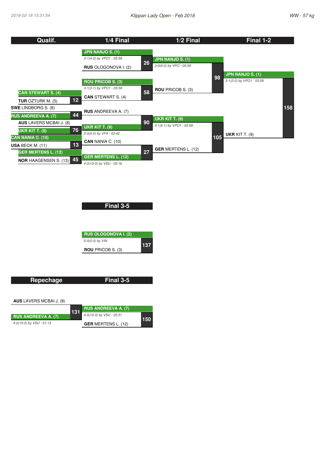| Qualif.                                                            | 1/4 Final                   |    | 1/2 Final                  |     | Final 1-2                          |     |
|--------------------------------------------------------------------|-----------------------------|----|----------------------------|-----|------------------------------------|-----|
|                                                                    | <b>JPN NANJO S. (1)</b>     |    |                            |     |                                    |     |
|                                                                    | 3-1(4-2) by VPO1 - 05:59    | 26 | <b>JPN NANJO S. (1)</b>    |     |                                    |     |
|                                                                    | <b>RUS</b> OLOGONOVA I. (2) |    | 3-0(6-0) by VPO - 05:59    |     |                                    |     |
|                                                                    |                             |    |                            | 98  | <b>JPN NANJO S. (1)</b>            |     |
|                                                                    | <b>ROU PRICOB S. (3)</b>    |    |                            |     | 3-1(2-2) by VPO1 - 05:59           |     |
| <b>CAN STEWART S. (4)</b>                                          | 3-1(3-1) by VPO1 - 05:59    | 58 | <b>ROU PRICOB S. (3)</b>   |     |                                    |     |
| 12                                                                 | <b>CAN STEWART S. (4)</b>   |    |                            |     |                                    |     |
| <b>TUR OZTURK M. (5)</b><br><b>SWE LINDBORG S. (6)</b>             |                             |    |                            |     |                                    | 158 |
| 44                                                                 | <b>RUS</b> ANDREEVA A. (7)  |    |                            |     |                                    |     |
| <b>RUS ANDREEVA A. (7)</b><br><b>AUS</b> LAVERS MCBAI J. (8)       |                             | 90 | <b>UKR KIT T. (9)</b>      |     |                                    |     |
| 76                                                                 | <b>UKR KIT T. (9)</b>       |    | 3-1(6-1) by VPO1 - 05:59   |     |                                    |     |
| UKR KIT T. (9)<br>CAN NANIA C. (10)                                | 5-0(4-0) by VFA - 02:42     |    |                            | 105 | <b>UKR KIT T. <math>(9)</math></b> |     |
| 13                                                                 | <b>CAN</b> NANIA C. (10)    |    |                            |     |                                    |     |
| <b>USA BECK M. <math>(11)</math></b><br><b>GER MERTENS L. (12)</b> |                             | 27 | <b>GER MERTENS L. (12)</b> |     |                                    |     |
| 45                                                                 | <b>GER MERTENS L. (12)</b>  |    |                            |     |                                    |     |
| <b>NOR HAAGENSEN S. (13)</b>                                       | 4-0(10-0) by VSU - 05:16    |    |                            |     |                                    |     |

**Final 3-5**

| <b>RUS OLOGONOVA I. (2)</b> |     |
|-----------------------------|-----|
| 5-0(0-0) by VIN             | 137 |
| <b>ROU</b> PRICOB S. (3)    |     |

| Final 3-5 |
|-----------|
|           |
|           |

**AUS** LAVERS MCBAI J. (8)

|                          |     | <b>RUS ANDREEVA A. (7)</b> |     |
|--------------------------|-----|----------------------------|-----|
| 「RUS ANDREEVA A. (7)」    | 131 | 4-0(10-0) by VSU - 05:31   | 150 |
| 4-0(10-0) by VSU - 01:13 |     | <b>GER MERTENS L. (12)</b> |     |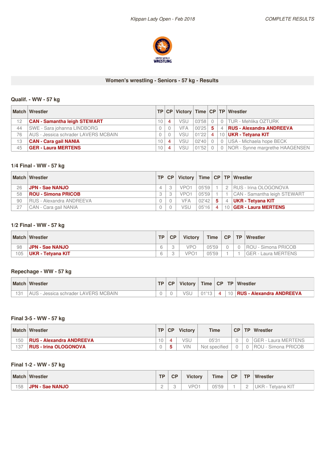

#### **Women's wrestling - Seniors - 57 kg - Results**

## **Qualif. - WW -57 kg**

|    | Match Wrestler                       | <b>TP</b>    |   |            |       |                |                | CP Victory Time CP TP Wrestler      |
|----|--------------------------------------|--------------|---|------------|-------|----------------|----------------|-------------------------------------|
| 12 | <b>CAN - Samantha leigh STEWART</b>  | ' 0          |   | VSU        | 03'58 |                | $\Omega$       | <b>TUR - Mehlika OZTURK</b>         |
| 44 | SWE - Sara johanna LINDBORG          |              |   | <b>VFA</b> | 00'25 | 5 <sub>1</sub> | $\overline{4}$ | <b>RUS - Alexandra ANDREEVA</b>     |
| 76 | AUS - Jessica schrader LAVERS MCBAIN |              |   | VSU        | 01'22 | 4 <sup>1</sup> |                | 10   UKR - Tetyana KIT              |
| 13 | <b>CAN - Cara gail NANIA</b>         | $^{\circ}$ 0 | 4 | <b>VSU</b> | 02'40 |                | $\Omega$       | USA - Michaela hope BECK            |
| 45 | <b>GER - Laura MERTENS</b>           | 10           | 4 | <b>VSU</b> | 01'52 |                |                | 0   NOR - Synne margrethe HAAGENSEN |

## **1/4 Final - WW - 57 kg**

|    | <b>Match Wrestler</b>      | TP | <b>CP</b> |                  |       |                |    | Victory   Time   CP   TP   Wrestler |
|----|----------------------------|----|-----------|------------------|-------|----------------|----|-------------------------------------|
| 26 | <b>JPN - Sae NANJO</b>     |    |           | VPO <sub>1</sub> | 05'59 |                |    | RUS - Irina OLOGONOVA               |
| 58 | <b>ROU - Simona PRICOB</b> |    |           | VPO <sub>1</sub> | 05'59 |                |    | CAN - Samantha leigh STEWART        |
| 90 | RUS - Alexandra ANDREEVA   |    |           | VFA              | 02'42 | 5.             | 4  | UKR - Tetyana KIT                   |
| 27 | CAN - Cara gail NANIA      |    |           | <b>VSU</b>       | 05'16 | $\overline{4}$ | 10 | <b>GER - Laura MERTENS</b>          |

## **1/2 Final - WW - 57 kg**

|     | <b>Match Wrestler</b>  | TP. | <b>CP</b> | <b>Victory</b>   | <b>Time</b> |  | CP   TP   Wrestler  |
|-----|------------------------|-----|-----------|------------------|-------------|--|---------------------|
| 98  | <b>JPN - Sae NANJO</b> |     |           | <b>VPC</b>       | 05'59       |  | ROU - Simona PRICOB |
| 105 | UKR - Tetvana KIT      |     |           | √P∩ <sup>.</sup> | 05'59       |  | GER - Laura MERTENS |

### **Repechage - WW - 57 kg**

| <b>Match Wrestler</b>                     | <b>TP</b> | CP | Victory    |       |  | Time $ CP TP $ Wrestler           |
|-------------------------------------------|-----------|----|------------|-------|--|-----------------------------------|
| ን - Jessica schrader LAVERS MCBAIN<br>AUS |           |    | <b>VSL</b> | 01'13 |  | 4   10   RUS - Alexandra ANDREEVA |

## **Final 3-5 - WW -57 kg**

|     | <b>Match Wrestler</b>           | <b>TP</b> | C P | <b>Victory</b> | <b>Time</b>   |  | CP   TP   Wrestler           |
|-----|---------------------------------|-----------|-----|----------------|---------------|--|------------------------------|
| 150 | <b>RUS - Alexandra ANDREEVA</b> |           |     | VSU            | 05'31         |  | GER - Laura MERTENS          |
| 137 | <b>RUS - Irina OLOGONOVA</b>    |           |     | VIN            | Not specified |  | <b>I ROU - Simona PRICOB</b> |

## **Final 1-2 - WW -57 kg**

| <b>Match</b> | Wrestler                  | <b>TP</b> | CP | <b>Victory</b>                  | <b>Time</b>    | CP | <b>TP</b>                          | <b>Wrestler</b>    |
|--------------|---------------------------|-----------|----|---------------------------------|----------------|----|------------------------------------|--------------------|
| 158          | <b>JPN</b><br>- Sae NANJO | ⌒<br>-    |    | ID <sub>O</sub><br>$\checkmark$ | 05'50<br>uu uu |    | $\sim$<br>$\overline{\phantom{a}}$ | UKR<br>retvana KIT |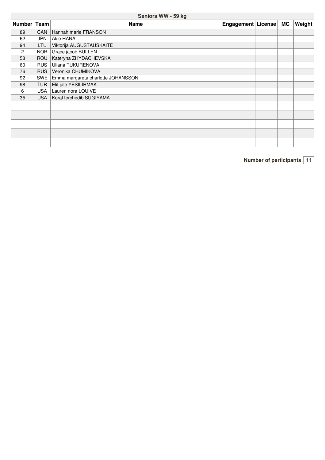## **Seniors WW -59 kg**

| <b>Number</b> | Team       | <b>Name</b>                        | Engagement   License |  | <b>MC</b> | Weight |
|---------------|------------|------------------------------------|----------------------|--|-----------|--------|
| 89            | <b>CAN</b> | Hannah marie FRANSON               |                      |  |           |        |
| 62            | JPN        | Akie HANAI                         |                      |  |           |        |
| 94            | LTU        | Viktorija AUGUSTAUSKAITE           |                      |  |           |        |
| 2             | NOR        | Grace jacob BULLEN                 |                      |  |           |        |
| 58            | <b>ROU</b> | Kateryna ZHYDACHEVSKA              |                      |  |           |        |
| 60            | <b>RUS</b> | Uliana TUKURENOVA                  |                      |  |           |        |
| 76            | <b>RUS</b> | Veronika CHUMIKOVA                 |                      |  |           |        |
| 92            | SWE        | Emma margareta charlotte JOHANSSON |                      |  |           |        |
| 98            | <b>TUR</b> | Elif jale YESILIRMAK               |                      |  |           |        |
| 6             | <b>USA</b> | Lauren nora LOUIVE                 |                      |  |           |        |
| 35            | <b>USA</b> | Koral terchedib SUGIYAMA           |                      |  |           |        |
|               |            |                                    |                      |  |           |        |
|               |            |                                    |                      |  |           |        |
|               |            |                                    |                      |  |           |        |
|               |            |                                    |                      |  |           |        |
|               |            |                                    |                      |  |           |        |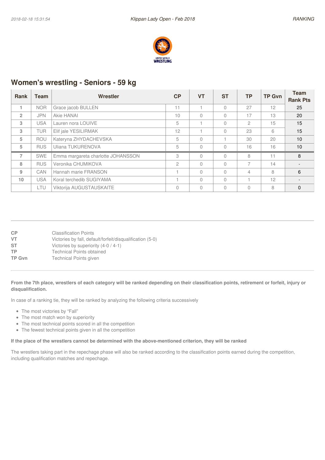

## **Women's wrestling - Seniors - 59 kg**

| <b>Rank</b>    | Team       | Wrestler                           | CP             | <b>VT</b> | <b>ST</b> | <b>TP</b>     | <b>TP Gvn</b> | <b>Team</b><br><b>Rank Pts</b> |
|----------------|------------|------------------------------------|----------------|-----------|-----------|---------------|---------------|--------------------------------|
|                | <b>NOR</b> | Grace jacob BULLEN                 | 11             |           |           | 27            | 12            | 25                             |
| $\overline{2}$ | <b>JPN</b> | Akie HANAI                         | 10             | $\Omega$  | $\Omega$  | 17            | 13            | 20                             |
| 3              | <b>USA</b> | Lauren nora LOUIVE                 | 5              |           | $\bigcap$ | $\mathcal{P}$ | 15            | 15                             |
| 3              | TUR        | Elif jale YESILIRMAK               | 12             |           | $\bigcap$ | 23            | 6             | 15                             |
| 5              | <b>ROU</b> | Kateryna ZHYDACHEVSKA              | 5              | $\Omega$  |           | 30            | 20            | 10                             |
| 5              | <b>RUS</b> | Uliana TUKURENOVA                  | 5              | $\Omega$  | $\bigcap$ | 16            | 16            | 10                             |
| $\overline{7}$ | <b>SWE</b> | Emma margareta charlotte JOHANSSON | 3              | $\Omega$  | $\bigcap$ | 8             | 11            | 8                              |
| 8              | <b>RUS</b> | Veronika CHUMIKOVA                 | $\overline{c}$ | $\Omega$  | $\bigcap$ |               | 14            |                                |
| 9              | CAN        | Hannah marie FRANSON               |                | $\Omega$  | $\bigcap$ | 4             | 8             | 6                              |
| 10             | <b>USA</b> | Koral terchedib SUGIYAMA           |                | $\Omega$  | $\bigcap$ |               | 12            |                                |
|                | LTU        | Viktorija AUGUSTAUSKAITE           | 0              | 0         |           | $\Omega$      | 8             | $\Omega$                       |

| CP            | <b>Classification Points</b>                              |
|---------------|-----------------------------------------------------------|
| <b>VT</b>     | Victories by fall, default/forfeit/disqualification (5-0) |
| <b>ST</b>     | Victories by superiority (4-0 / 4-1)                      |
| <b>TP</b>     | <b>Technical Points obtained</b>                          |
| <b>TP Gvn</b> | Technical Points given                                    |

#### From the 7th place, wrestlers of each category will be ranked depending on their classification points, retirement or forfeit, injury or **disqualification.**

In case of a ranking tie, they will be ranked by analyzing the following criteria successively

- The most victories by "Fall"
- The most match won by superiority
- The most technical points scored in all the competition
- The fewest technical points given in all the competition

#### If the place of the wrestlers cannot be determined with the above-mentioned criterion, they will be ranked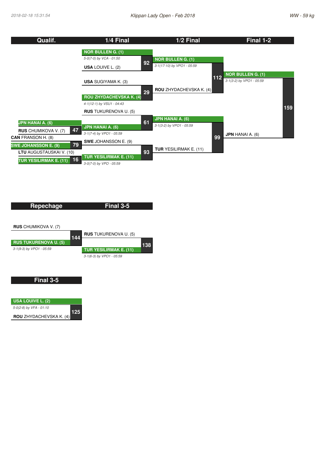

| Repechage                    |     | Final 3-5                     |     |
|------------------------------|-----|-------------------------------|-----|
|                              |     |                               |     |
|                              |     |                               |     |
| <b>RUS</b> CHUMIKOVA V. (7)  |     |                               |     |
|                              | 144 | <b>RUS</b> TUKURENOVA U. (5)  |     |
| <b>RUS TUKURENOVA U. (5)</b> |     |                               | 138 |
| 3-1(9-3) by VPO1 - 05:59     |     | <b>TUR YESILIRMAK E. (11)</b> |     |
|                              |     | 3-1(6-3) by VPO1 - 05:59      |     |
|                              |     |                               |     |

#### **Final 3-5**

| USA LOUIVE L. (2)       |     |
|-------------------------|-----|
| 5-0(2-8) by VFA - 01:10 | 125 |
| ROU ZHYDACHEVSKA K. (4) |     |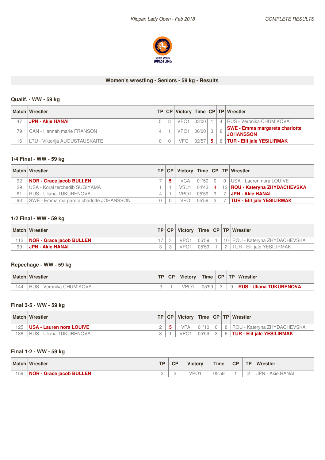

## **Women's wrestling - Seniors - 59 kg - Results**

## **Qualif. - WW -59 kg**

|    | Match Wrestler                    |   |                  |       |   | TP CP Victory Time CP TP Wrestler                         |
|----|-----------------------------------|---|------------------|-------|---|-----------------------------------------------------------|
| 47 | <b>JPN - Akie HANAI</b>           | 3 | VPO <sub>1</sub> | 03'00 |   | 4   RUS - Veronika CHUMIKOVA                              |
| 79 | <b>CAN - Hannah marie FRANSON</b> |   | VPO <sub>1</sub> | 06'00 |   | <b>SWE - Emma margareta charlotte</b><br><b>JOHANSSON</b> |
| 16 | LTU - Viktorija AUGUSTAUSKAITE    |   | VFC              | 02'57 | 5 | 8   TUR - Elif jale YESILIRMAK                            |

#### **1/4 Final - WW - 59 kg**

|    | Match Wrestler                           | TP | CP |                  |       |                | Victory   Time   CP   TP   Wrestler |
|----|------------------------------------------|----|----|------------------|-------|----------------|-------------------------------------|
| 92 | <b>NOR - Grace jacob BULLEN</b>          |    |    | <b>VCA</b>       | 01'50 | $\Omega$       | USA - Lauren nora LOUIVE            |
| 29 | USA - Koral terchedib SUGIYAMA           |    |    | VSU1             | 04'43 | $\overline{4}$ | 12   ROU - Kateryna ZHYDACHEVSKA    |
| 61 | <b>RUS - Uliana TUKURENOVA</b>           |    |    | VPO <sup>-</sup> | 05'59 | $\mathcal{S}$  | <b>JPN - Akie HANAI</b>             |
| 93 | SWE - Emma margareta charlotte JOHANSSON |    |    | VPC              | 05'59 | $\mathcal{R}$  | <b>TUR - Elif jale YESILIRMAK</b>   |

### **1/2 Final - WW - 59 kg**

|     | <b>Match Wrestler</b>           |  |                  |       |   | <b>TP CP Victory Time CP TP Wrestler</b> |
|-----|---------------------------------|--|------------------|-------|---|------------------------------------------|
| 112 | <b>NOR - Grace jacob BULLEN</b> |  | VPO <sub>1</sub> | 05'59 |   | 10   ROU - Kateryna ZHYDACHEVSKA         |
| 99  | <b>∣ JPN - Akie HANAI</b>       |  | VPO <sub>1</sub> | 05'59 | 2 | <b>ITUR - Elif jale YESILIRMAK</b>       |

## **Repechage - WW - 59 kg**

| <b>Match</b> | Wrestler                    | <b>TP</b> | CP. | <b>Victory</b> | Time <sub>1</sub> | CP | <b>TP</b> | Wrestler                       |
|--------------|-----------------------------|-----------|-----|----------------|-------------------|----|-----------|--------------------------------|
| 44           | Veronika CHUMIKOVA<br>RUS - |           |     |                | 15 h U<br>w       |    | 9         | <b>RUS - Uliana TUKURENOVA</b> |

## **Final 3-5 - WW -59 kg**

|     | <b>Match Wrestler</b>           | <b>TP</b> |                  |       |  | CP   Victory   Time   CP   TP   Wrestler    |
|-----|---------------------------------|-----------|------------------|-------|--|---------------------------------------------|
| 125 | <b>USA - Lauren nora LOUIVE</b> |           | VFA              |       |  | 01'10   0   8   ROU - Kateryna ZHYDACHEVSKA |
| 138 | <b>RUS - Uliana TUKURENOVA</b>  |           | VPO <sub>1</sub> | 05'59 |  | 3 6 TUR - Elif jale YESILIRMAK              |

## **Final 1-2 - WW -59 kg**

|     | <b>Match Wrestler</b>           | <b>TP</b> | CP | <b>Victory</b>     | Time  | CP | <b>TP</b> | Wrestler            |
|-----|---------------------------------|-----------|----|--------------------|-------|----|-----------|---------------------|
| 159 | <b>NOR - Grace jacob BULLEN</b> |           | ັ  | /PN·<br>$\tilde{}$ | 05'59 |    |           | Akie HANAI<br>JPN - |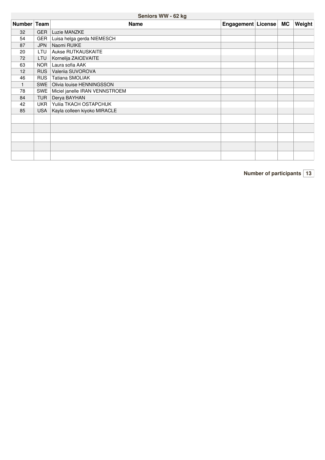## **Seniors WW -62 kg**

| Number Team |            | <b>Name</b>                    | Engagement   License | <b>MC</b> | Weight |
|-------------|------------|--------------------------------|----------------------|-----------|--------|
| 32          | <b>GER</b> | Luzie MANZKE                   |                      |           |        |
| 54          | <b>GER</b> | Luisa helga gerda NIEMESCH     |                      |           |        |
| 87          | <b>JPN</b> | Naomi RUIKE                    |                      |           |        |
| 20          | LTU        | Aukse RUTKAUSKAITE             |                      |           |        |
| 72          | <b>LTU</b> | Kornelija ZAICEVAITE           |                      |           |        |
| 63          | <b>NOR</b> | Laura sofia AAK                |                      |           |        |
| 12          | <b>RUS</b> | Valeriia SUVOROVA              |                      |           |        |
| 46          | <b>RUS</b> | Tatiana SMOLIAK                |                      |           |        |
|             | SWE        | Olivia louise HENNINGSSON      |                      |           |        |
| 78          | <b>SWE</b> | Miciel janelle IRAN VENNSTROEM |                      |           |        |
| 84          | <b>TUR</b> | Derya BAYHAN                   |                      |           |        |
| 42          | <b>UKR</b> | Yuliia TKACH OSTAPCHUK         |                      |           |        |
| 85          | <b>USA</b> | Kayla colleen kiyoko MIRACLE   |                      |           |        |
|             |            |                                |                      |           |        |
|             |            |                                |                      |           |        |
|             |            |                                |                      |           |        |
|             |            |                                |                      |           |        |
|             |            |                                |                      |           |        |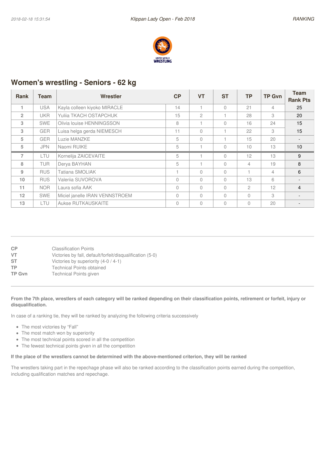

## **Women's wrestling - Seniors - 62 kg**

| <b>Rank</b>    | Team       | Wrestler                       | CP             | <b>VT</b>      | <b>ST</b> | ТP             | <b>TP Gvn</b>  | <b>Team</b>     |
|----------------|------------|--------------------------------|----------------|----------------|-----------|----------------|----------------|-----------------|
|                |            |                                |                |                |           |                |                | <b>Rank Pts</b> |
|                | <b>USA</b> | Kayla colleen kiyoko MIRACLE   | 14             |                | $\bigcap$ | 21             | 4              | 25              |
| $\overline{2}$ | <b>UKR</b> | Yulija TKACH OSTAPCHUK         | 15             | $\overline{c}$ |           | 28             | 3              | 20              |
| 3              | <b>SWE</b> | Olivia louise HENNINGSSON      | 8              |                | $\bigcap$ | 16             | 24             | 15              |
| 3              | <b>GER</b> | Luisa helga gerda NIEMESCH     | 11             | $\Omega$       |           | 22             | 3              | 15              |
| 5              | <b>GER</b> | Luzie MANZKE                   | 5              | $\Omega$       |           | 15             | 20             |                 |
| 5              | <b>JPN</b> | Naomi RUIKE                    | 5              |                | $\bigcap$ | 10             | 13             | 10              |
| $\overline{7}$ | LTU        | Kornelija ZAICEVAITE           | 5              |                | $\bigcap$ | 12             | 13             | 9               |
| 8              | <b>TUR</b> | Derya BAYHAN                   | 5              |                | $\bigcap$ | $\overline{4}$ | 19             | 8               |
| 9              | <b>RUS</b> | Tatiana SMOLIAK                |                | $\Omega$       | $\Omega$  |                | $\overline{4}$ | 6               |
| 10             | <b>RUS</b> | Valerija SUVOROVA              | 0              | $\Omega$       | $\bigcap$ | 13             | 6              |                 |
| 11             | <b>NOR</b> | Laura sofia AAK                | $\Omega$       | $\Omega$       | $\bigcap$ | 2              | 12             | 4               |
| 12             | <b>SWE</b> | Miciel janelle IRAN VENNSTROEM | $\overline{0}$ | $\Omega$       | $\bigcap$ | $\bigcap$      | 3              |                 |
| 13             | LTU        | Aukse RUTKAUSKAITE             | 0              | $\Omega$       | $\Omega$  | $\Omega$       | 20             |                 |

| СP     | <b>Classification Points</b>                              |
|--------|-----------------------------------------------------------|
| VT     | Victories by fall, default/forfeit/disqualification (5-0) |
| ST     | Victories by superiority (4-0 / 4-1)                      |
| ТP     | <b>Technical Points obtained</b>                          |
| TP Gvn | Technical Points given                                    |
|        |                                                           |

#### From the 7th place, wrestlers of each category will be ranked depending on their classification points, retirement or forfeit, injury or **disqualification.**

In case of a ranking tie, they will be ranked by analyzing the following criteria successively

- The most victories by "Fall"
- The most match won by superiority
- The most technical points scored in all the competition
- The fewest technical points given in all the competition

#### If the place of the wrestlers cannot be determined with the above-mentioned criterion, they will be ranked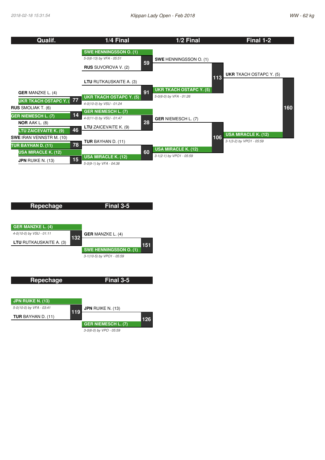



*3-0(6-0) by VPO - 05:59*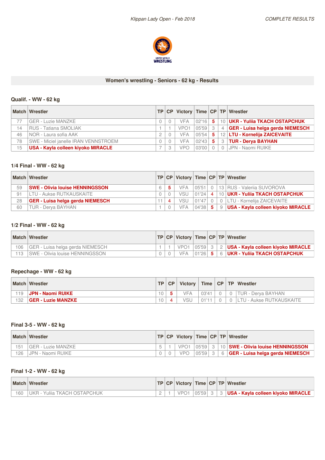

#### **Women's wrestling - Seniors - 62 kg - Results**

## **Qualif. - WW -62 kg**

|    | <b>Match Wrestler</b>                | <b>TP</b> |                  |         |    |                | CP Victory Time CP TP Wrestler          |
|----|--------------------------------------|-----------|------------------|---------|----|----------------|-----------------------------------------|
|    | <b>GER - Luzie MANZKE</b>            |           | <b>VFA</b>       | 02'16 5 |    |                | 10   UKR - Yuliia TKACH OSTAPCHUK       |
| 14 | RUS - Tatiana SMOLIAK                |           | VPO <sub>1</sub> | 05'59   |    | $\overline{4}$ | <b>GER - Luisa helga gerda NIEMESCH</b> |
| 46 | NOR - Laura sofia AAK                |           | <b>VFA</b>       | 05'54   | -5 |                | 12   LTU - Kornelija ZAICEVAITE         |
| 78 | SWE - Miciel janelle IRAN VENNSTROEM |           | <b>VFA</b>       | 02'43   | 5. | 3              | <b>TUR - Derva BAYHAN</b>               |
| 15 | USA - Kayla colleen kiyoko MIRACLE   |           | vpo              | 03'00   |    | $\overline{0}$ | I JPN - Naomi RUIKE                     |

## **1/4 Final - WW - 62 kg**

|    | <b>Match Wrestler</b>                  |  |            |       |                   |   | TP   CP   Victory   Time   CP   TP   Wrestler |
|----|----------------------------------------|--|------------|-------|-------------------|---|-----------------------------------------------|
| 59 | <b>SWE - Olivia louise HENNINGSSON</b> |  | <b>VFA</b> |       |                   |   |                                               |
| 91 | LTU - Aukse RUTKAUSKAITE               |  | VSU        | 01'24 | $\vert$ 4 $\vert$ |   | 10   UKR - Yuliia TKACH OSTAPCHUK             |
| 28 | GER - Luisa helga gerda NIEMESCH       |  | VSU        | 01'47 |                   |   | 0   LTU - Kornelija ZAICEVAITE                |
| 60 | <b>TUR - Derva BAYHAN</b>              |  | <b>VFA</b> | 04'38 | -5                | 9 | USA - Kayla colleen kiyoko MIRACLE            |

## **1/2 Final - WW - 62 kg**

|     | Match Wrestler                        |  |                  |  | TP   CP   Victory   Time   CP   TP   Wrestler        |
|-----|---------------------------------------|--|------------------|--|------------------------------------------------------|
| 106 | GER - Luisa helga gerda NIEMESCH      |  | VPO <sub>1</sub> |  | $ 05'59 $ 3   2   USA - Kayla colleen kiyoko MIRACLE |
|     | 113   SWE - Olivia Iouise HENNINGSSON |  | <b>VFA</b>       |  | $ 0126 $ 5   6   UKR - Yuliia TKACH OSTAPCHUK        |

### **Repechage - WW - 62 kg**

|     | <b>Match Wrestler</b>     | <b>TP</b> | <b>CP</b> | Victory    |       |          | Time   CP   TP   Wrestler |
|-----|---------------------------|-----------|-----------|------------|-------|----------|---------------------------|
| 119 | JPN - Naomi RUIKE         |           |           | <b>VFA</b> | 03'41 | $\Omega$ | 0   TUR - Derya BAYHAN    |
| 132 | <b>GER - Luzie MANZKE</b> | 10        |           | VSL        | 01'11 |          | LTU - Aukse RUTKAUSKAITE  |

## **Final 3-5 - WW -62 kg**

|     | <b>Match Wrestler</b> |  |     |             |  | TP   CP   Victory   Time   CP   TP   Wrestler |
|-----|-----------------------|--|-----|-------------|--|-----------------------------------------------|
| 151 | GER - Luzie MANZKE    |  |     |             |  | 05'59 3 10 SWE - Olivia louise HENNINGSSON    |
| 126 | , JPN - Naomi RUIKE   |  | VPO | $05'59$   3 |  | 6 GER - Luisa helga gerda NIEMESCH            |

## **Final 1-2 - WW -62 kg**

| <b>Match</b> | Wrestler                          |  |       |  | TP   CP   Victory   Time   CP   TP   Wrestler |
|--------------|-----------------------------------|--|-------|--|-----------------------------------------------|
| 160          | JKR -<br>· Yuliia TKACH OSTAPCHUK |  | 05'59 |  | USA - Kayla colleen kiyoko MIRACLE            |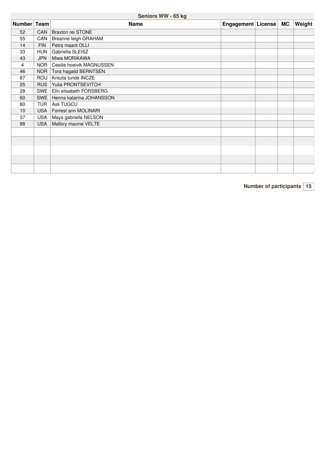## **Seniors WW -65 kg**

| Number Team |            | <b>Name</b>               | Engagement   License | MC | Weight |
|-------------|------------|---------------------------|----------------------|----|--------|
| 52          | CAN        | Braxton rei STONE         |                      |    |        |
| 55          | CAN        | Breanne leigh GRAHAM      |                      |    |        |
| 14          | <b>FIN</b> | Petra maarit OLLI         |                      |    |        |
| 33          | <b>HUN</b> | Gabriella SLEISZ          |                      |    |        |
| 43          | <b>JPN</b> | Miwa MORIKAWA             |                      |    |        |
| 4           | NOR.       | Cesilie hoeivik MAGNUSSEN |                      |    |        |
| 46          | NOR        | Tora hagalid BERNTSEN     |                      |    |        |
| 87          | ROU        | Kriszta tunde INCZE       |                      |    |        |
| 25          | <b>RUS</b> | Yulia PRONTSEVITCH        |                      |    |        |
| 28          | <b>SWE</b> | Elin elisabeth FORSBERG   |                      |    |        |
| 60          | SWE        | Henna katarina JOHANSSON  |                      |    |        |
| 80          | <b>TUR</b> | Asli TUGCU                |                      |    |        |
| 10          | <b>USA</b> | Forrest ann MOLINARI      |                      |    |        |
| 37          | <b>USA</b> | Maya gabriella NELSON     |                      |    |        |
| 88          | <b>USA</b> | Mallory maxine VELTE      |                      |    |        |
|             |            |                           |                      |    |        |
|             |            |                           |                      |    |        |
|             |            |                           |                      |    |        |
|             |            |                           |                      |    |        |
|             |            |                           |                      |    |        |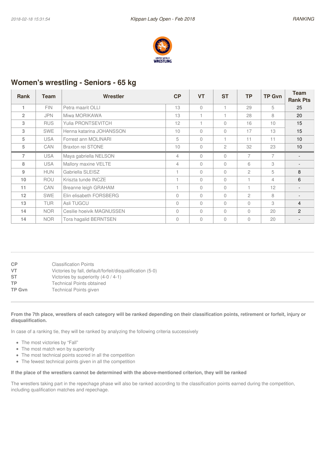

## **Women's wrestling - Seniors - 65 kg**

| Rank           | Team       | Wrestler                  | CP             | <b>VT</b>      | <b>ST</b>    | <b>TP</b>      | <b>TP Gvn</b>  | <b>Team</b>     |
|----------------|------------|---------------------------|----------------|----------------|--------------|----------------|----------------|-----------------|
|                |            |                           |                |                |              |                |                | <b>Rank Pts</b> |
| 1              | <b>FIN</b> | Petra maarit OLLI         | 13             | $\Omega$       |              | 29             | 5              | 25              |
| $\overline{2}$ | <b>JPN</b> | Miwa MORIKAWA             | 13             |                |              | 28             | 8              | 20              |
| 3              | <b>RUS</b> | Yulia PRONTSEVITCH        | 12             |                | $\bigcap$    | 16             | 10             | 15              |
| 3              | <b>SWE</b> | Henna katarina JOHANSSON  | 10             | $\Omega$       | $\bigcap$    | 17             | 13             | 15              |
| 5              | <b>USA</b> | Forrest ann MOLINARI      | 5              | $\Omega$       |              | 11             | 11             | 10 <sup>°</sup> |
| 5              | <b>CAN</b> | Braxton rei STONE         | 10             | $\Omega$       | $\mathbf{2}$ | 32             | 23             | 10              |
| $\overline{7}$ | <b>USA</b> | Maya gabriella NELSON     | $\overline{4}$ | $\Omega$       | $\bigcap$    | $\overline{7}$ | $\overline{7}$ |                 |
| 8              | <b>USA</b> | Mallory maxine VELTE      | 4              | $\Omega$       | $\Omega$     | 6              | 3              |                 |
| 9              | <b>HUN</b> | Gabriella SLEISZ          |                | $\Omega$       | $\bigcap$    | $\mathfrak{D}$ | 5              | 8               |
| 10             | <b>ROU</b> | Kriszta tunde INCZE       |                | $\Omega$       | $\Omega$     |                | $\overline{4}$ | 6               |
| 11             | <b>CAN</b> | Breanne leigh GRAHAM      |                | $\Omega$       | $\bigcap$    |                | 12             |                 |
| 12             | <b>SWE</b> | Elin elisabeth FORSBERG   | 0              | $\Omega$       | $\Omega$     | $\mathfrak{D}$ | 8              |                 |
| 13             | <b>TUR</b> | Asli TUGCU                | 0              | $\Omega$       | $\Omega$     | $\Omega$       | 3              | $\overline{4}$  |
| 14             | <b>NOR</b> | Cesilie hoeivik MAGNUSSEN | 0              | $\Omega$       | $\Omega$     | $\Omega$       | 20             | 2               |
| 14             | <b>NOR</b> | Tora hagalid BERNTSEN     | 0              | $\overline{0}$ | $\bigcap$    | $\Omega$       | 20             |                 |

| <b>CP</b><br>VT. | <b>Classification Points</b><br>Victories by fall, default/forfeit/disqualification (5-0) |
|------------------|-------------------------------------------------------------------------------------------|
| <b>ST</b>        | Victories by superiority (4-0 / 4-1)                                                      |
| <b>TP</b>        | <b>Technical Points obtained</b>                                                          |
| <b>TP Gvn</b>    | <b>Technical Points given</b>                                                             |
|                  |                                                                                           |

#### From the 7th place, wrestlers of each category will be ranked depending on their classification points, retirement or forfeit, injury or **disqualification.**

In case of a ranking tie, they will be ranked by analyzing the following criteria successively

- The most victories by "Fall"
- The most match won by superiority
- The most technical points scored in all the competition
- The fewest technical points given in all the competition

#### If the place of the wrestlers cannot be determined with the above-mentioned criterion, they will be ranked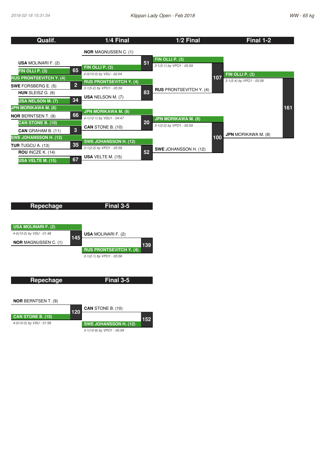| Qualif.                                              | 1/4 Final                      |    | 1/2 Final                                              |     | Final 1-2                  |     |
|------------------------------------------------------|--------------------------------|----|--------------------------------------------------------|-----|----------------------------|-----|
|                                                      | <b>NOR MAGNUSSEN C. (1)</b>    |    |                                                        |     |                            |     |
| <b>USA MOLINARI F. (2)</b>                           |                                | 51 | FIN OLLI P. (3)                                        |     |                            |     |
| 65                                                   | FIN OLLI P. (3)                |    | 3-1(5-1) by VPO1 - 05:59                               |     |                            |     |
| FIN OLLI P. (3)                                      | 4-0(10-0) by VSU - 02:04       |    |                                                        |     | FIN OLLI P. (3)            |     |
| <b>RUS PRONTSEVITCH Y. (4)</b>                       | <b>RUS PRONTSEVITCH Y. (4)</b> |    |                                                        | 107 | 3-1(5-4) by VPO1 - 05:59   |     |
| 2 <br><b>SWE FORSBERG E. (5)</b>                     | 3-1(5-2) by VPO1 - 05:59       |    | <b>RUS PRONTSEVITCH Y. (4)</b>                         |     |                            |     |
| HUN SLEISZ G. (6)                                    | <b>USA NELSON M. (7)</b>       | 83 |                                                        |     |                            |     |
| 34<br>USA NELSON M. (7)                              |                                |    |                                                        |     |                            |     |
| <b>JPN MORIKAWA M. (8)</b>                           | <b>JPN MORIKAWA M. (8)</b>     |    |                                                        |     |                            | 161 |
| 66<br><b>NOR BERNTSEN T. (9)</b>                     | 4-1(12-1) by VSU1 - 04:47      |    |                                                        |     |                            |     |
| <b>CAN STONE B. (10)</b>                             |                                | 20 | <b>JPN MORIKAWA M. (8)</b><br>3-1(2-2) by VPO1 - 05:59 |     |                            |     |
| $\overline{\mathbf{3}}$<br><b>CAN GRAHAM B. (11)</b> | <b>CAN STONE B. (10)</b>       |    |                                                        |     |                            |     |
| <b>SWE JOHANSSON H. (12)</b>                         |                                |    |                                                        | 100 | <b>JPN MORIKAWA M. (8)</b> |     |
| 35<br><b>TUR</b> TUGCU A. (13)                       | <b>SWE JOHANSSON H. (12)</b>   |    |                                                        |     |                            |     |
| <b>ROU</b> INCZE K. $(14)$                           | 3-1(2-2) by VPO1 - 05:59       | 52 | SWE JOHANSSON H. (12)                                  |     |                            |     |
| 67<br>USA VELTE M. (15)                              | <b>USA</b> VELTE M. $(15)$     |    |                                                        |     |                            |     |



*3-1(10-9) by VPO1 - 05:59*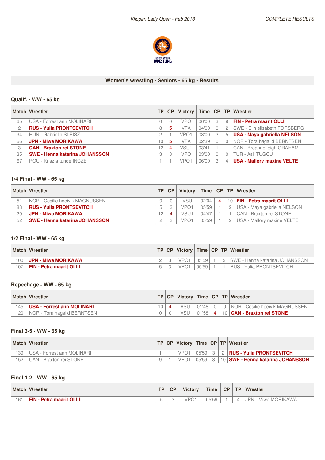

#### **Women's wrestling - Seniors - 65 kg - Results**

## **Qualif. - WW -65 kg**

|                | <b>Match Wrestler</b>                 | <b>TP</b> | CP | Victory          |       |   |                | Time   CP   TP   Wrestler          |
|----------------|---------------------------------------|-----------|----|------------------|-------|---|----------------|------------------------------------|
| 65             | USA - Forrest ann MOLINARI            |           |    | <b>VPO</b>       | 06'00 | 3 | 9              | <b>FIN - Petra maarit OLLI</b>     |
| $\mathfrak{p}$ | <b>RUS - Yulia PRONTSEVITCH</b>       | 8         | 5. | VFA              | 04'00 |   | $\overline{c}$ | SWE - Elin elisabeth FORSBERG      |
| 34             | <b>HUN - Gabriella SLEISZ</b>         |           |    | VPO <sub>1</sub> | 03'00 |   | 5              | <b>USA - Maya gabriella NELSON</b> |
| 66             | <b>JPN - Miwa MORIKAWA</b>            | 10        | 5. | VFA              | 02'39 |   | $\Omega$       | NOR - Tora hagalid BERNTSEN        |
| 3              | <b>CAN - Braxton rei STONE</b>        | 12        | 4  | VSU <sub>1</sub> | 03'41 |   |                | CAN - Breanne leigh GRAHAM         |
| 35             | <b>SWE - Henna katarina JOHANSSON</b> |           | 3  | <b>VPO</b>       | 03'00 |   | $\bigcap$      | <b>TUR - Asli TUGCU</b>            |
| 67             | ROU - Kriszta tunde INCZE             |           |    | VPO <sub>1</sub> | 06'00 |   | $\overline{4}$ | <b>USA - Mallory maxine VELTE</b>  |

## **1/4 Final - WW - 65 kg**

|    | Match Wrestler                          | <b>TP</b> | CP | Victory          |       |           |          | Time   CP   TP   Wrestler         |
|----|-----------------------------------------|-----------|----|------------------|-------|-----------|----------|-----------------------------------|
| 51 | <b>INOR - Cesilie hoeivik MAGNUSSEN</b> |           |    | VSU              | 02'04 | $\lambda$ | $10^{-}$ | <b>FIN - Petra maarit OLLI</b>    |
| 83 | <b>RUS - Yulia PRONTSEVITCH</b>         |           |    | VPO <sub>1</sub> | 05'59 |           |          | USA - Maya gabriella NELSON       |
| 20 | <b>JPN - Miwa MORIKAWA</b>              | 12        |    | VSU <sub>1</sub> | 04'47 |           |          | CAN - Braxton rei STONE           |
| 52 | <b>SWE - Henna katarina JOHANSSON</b>   |           |    | VPO <sub>1</sub> | 05'59 |           |          | <b>USA - Mallory maxine VELTE</b> |

#### **1/2 Final - WW - 65 kg**

|     | <b>Match Wrestler</b>          |  |     |       |  | TP   CP   Victory   Time   CP   TP   Wrestler |
|-----|--------------------------------|--|-----|-------|--|-----------------------------------------------|
| 00  | <b>JPN - Miwa MORIKAWA</b>     |  |     | 05'59 |  | ISWE - Henna katarina JOHANSSON               |
| 107 | <b>FIN - Petra maarit OLLI</b> |  | VPC | 05'59 |  | RUS - Yulia PRONTSEVITCH                      |

## **Repechage - WW - 65 kg**

|     | <b>Match Wrestler</b>              | TP |            |           |                 | CP   Victory   Time   CP   TP   Wrestler |
|-----|------------------------------------|----|------------|-----------|-----------------|------------------------------------------|
| 145 | USA - Forrest ann MOLINARI         |    | <b>VSU</b> | $01'48$ 0 |                 | 0   NOR - Cesilie hoeivik MAGNUSSEN      |
| 120 | <b>NOR</b> - Tora hagalid BERNTSEN |    | VSU        | 01'58     | $\vert 4 \vert$ | 10   CAN - Braxton rei STONE             |

#### **Final 3-5 - WW -65 kg**

|     | <b>Match Wrestler</b>      |  |  |  | <b>TP CP Victory Time CP TP Wrestler</b>      |
|-----|----------------------------|--|--|--|-----------------------------------------------|
| 139 | USA - Forrest ann MOLINARI |  |  |  | 05'59   3   2   RUS - Yulia PRONTSEVITCH      |
| 152 | I CAN - Braxton rei STONE  |  |  |  | 105'591 3 110 ISWE - Henna katarina JOHANSSON |

## **Final 1-2 - WW -65 kg**

|     | <b>Match Wrestler</b>               | TP. | <b>CP</b> | <b>Victory</b>  | <b>Time</b>    | <b>CP</b> | <b>TP</b> | <b>Wrestler</b>        |
|-----|-------------------------------------|-----|-----------|-----------------|----------------|-----------|-----------|------------------------|
| 161 | <b>FIN</b><br>l - Petra maarit OLLI |     |           | ID <sub>O</sub> | 05'59<br>UJ JJ |           |           | Miwa MORIKAWA<br>JPN - |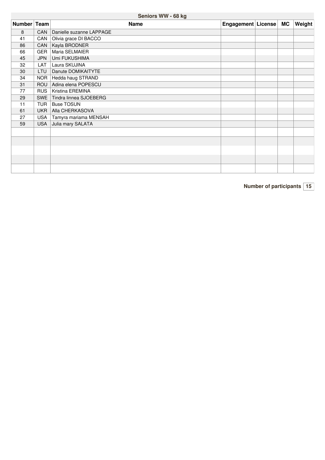## **Seniors WW -68 kg**

| Number Team |            | <b>Name</b>              | Engagement   License | MC | <b>Weight</b> |
|-------------|------------|--------------------------|----------------------|----|---------------|
| 8           | <b>CAN</b> | Danielle suzanne LAPPAGE |                      |    |               |
| 41          | CAN        | Olivia grace DI BACCO    |                      |    |               |
| 86          | CAN        | Kayla BRODNER            |                      |    |               |
| 66          | <b>GER</b> | Maria SELMAIER           |                      |    |               |
| 45          | <b>JPN</b> | Umi FUKUSHIMA            |                      |    |               |
| 32          | LAT        | Laura SKUJINA            |                      |    |               |
| 30          | <b>LTU</b> | Danute DOMIKAITYTE       |                      |    |               |
| 34          | NOR.       | Hedda haug STRAND        |                      |    |               |
| 31          | <b>ROU</b> | Adina elena POPESCU      |                      |    |               |
| 77          | <b>RUS</b> | Kristina EREMINA         |                      |    |               |
| 29          | <b>SWE</b> | Tindra linnea SJOEBERG   |                      |    |               |
| 11          | <b>TUR</b> | <b>Buse TOSUN</b>        |                      |    |               |
| 61          | <b>UKR</b> | Alla CHERKASOVA          |                      |    |               |
| 27          | <b>USA</b> | Tamyra mariama MENSAH    |                      |    |               |
| 59          | <b>USA</b> | Julia mary SALATA        |                      |    |               |
|             |            |                          |                      |    |               |
|             |            |                          |                      |    |               |
|             |            |                          |                      |    |               |
|             |            |                          |                      |    |               |
|             |            |                          |                      |    |               |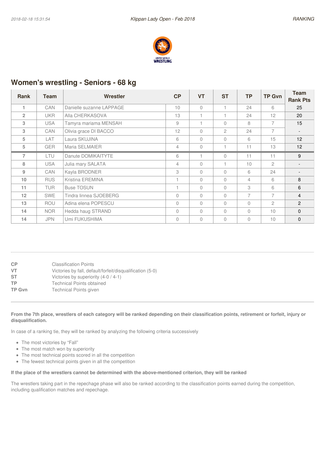

## **Women's wrestling - Seniors - 68 kg**

| <b>Rank</b>    | Team       | Wrestler                 | CP             | <b>VT</b>      | <b>ST</b>      | <b>TP</b>      | <b>TP Gvn</b>  | <b>Team</b>              |
|----------------|------------|--------------------------|----------------|----------------|----------------|----------------|----------------|--------------------------|
|                |            |                          |                |                |                |                |                | <b>Rank Pts</b>          |
| 1              | <b>CAN</b> | Danielle suzanne LAPPAGE | 10             | $\Omega$       |                | 24             | 6              | 25                       |
| $\overline{2}$ | <b>UKR</b> | Alla CHERKASOVA          | 13             |                |                | 24             | 12             | 20                       |
| 3              | <b>USA</b> | Tamyra mariama MENSAH    | 9              |                | $\bigcap$      | 8              | 7              | 15                       |
| 3              | <b>CAN</b> | Olivia grace DI BACCO    | 12             | $\overline{0}$ | $\overline{c}$ | 24             | $\overline{7}$ | $\overline{\phantom{0}}$ |
| 5              | LAT        | Laura SKUJINA            | 6              | $\Omega$       | $\Omega$       | 6              | 15             | 12                       |
| 5              | <b>GER</b> | Maria SELMAIER           | 4              | $\Omega$       |                | 11             | 13             | 12 <sup>2</sup>          |
| $\overline{7}$ | <b>LTU</b> | Danute DOMIKAITYTE       | 6              |                | $\bigcap$      | 11             | 11             | 9                        |
| 8              | <b>USA</b> | Julia mary SALATA        | $\overline{4}$ | $\Omega$       |                | 10             | $\mathfrak{p}$ |                          |
| 9              | <b>CAN</b> | Kayla BRODNER            | 3              | $\Omega$       | $\bigcap$      | 6              | 24             |                          |
| 10             | <b>RUS</b> | Kristina EREMINA         |                | $\Omega$       | $\bigcap$      | $\overline{4}$ | 6              | 8                        |
| 11             | <b>TUR</b> | <b>Buse TOSUN</b>        |                | $\Omega$       | $\bigcap$      | 3              | 6              | 6                        |
| 12             | <b>SWE</b> | Tindra linnea SJOEBERG   | $\Omega$       | $\Omega$       | $\Omega$       | $\overline{7}$ | $\overline{7}$ | $\overline{4}$           |
| 13             | <b>ROU</b> | Adina elena POPESCU      | 0              | $\Omega$       | $\Omega$       | $\Omega$       | $\mathfrak{D}$ | 2                        |
| 14             | <b>NOR</b> | Hedda haug STRAND        | 0              | $\Omega$       | $\bigcap$      | $\Omega$       | 10             | $\mathbf{0}$             |
| 14             | <b>JPN</b> | Umi FUKUSHIMA            | $\Omega$       | $\Omega$       | $\bigcap$      | $\Omega$       | 10             | $\Omega$                 |

| <b>CP</b><br>VT | <b>Classification Points</b><br>Victories by fall, default/forfeit/disqualification (5-0) |
|-----------------|-------------------------------------------------------------------------------------------|
| <b>ST</b>       | Victories by superiority (4-0 / 4-1)                                                      |
| TP              | <b>Technical Points obtained</b>                                                          |
| <b>TP Gvn</b>   | Technical Points given                                                                    |
|                 |                                                                                           |

#### From the 7th place, wrestlers of each category will be ranked depending on their classification points, retirement or forfeit, injury or **disqualification.**

In case of a ranking tie, they will be ranked by analyzing the following criteria successively

- The most victories by "Fall"
- The most match won by superiority
- The most technical points scored in all the competition
- The fewest technical points given in all the competition

#### If the place of the wrestlers cannot be determined with the above-mentioned criterion, they will be ranked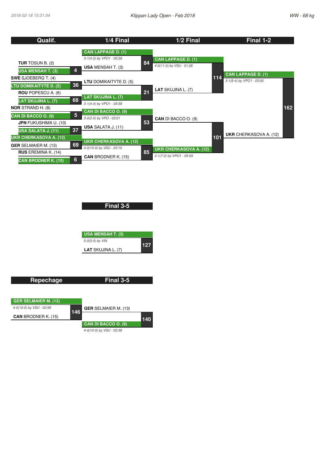| Qualif.                                             | 1/4 Final                     |    | 1/2 Final                     |     | Final 1-2                     |     |
|-----------------------------------------------------|-------------------------------|----|-------------------------------|-----|-------------------------------|-----|
|                                                     | <b>CAN LAPPAGE D. (1)</b>     |    |                               |     |                               |     |
| <b>TUR</b> TOSUN B. (2)                             | 3-1(4-2) by VPO1 - 05:59      | 84 | <b>CAN LAPPAGE D. (1)</b>     |     |                               |     |
| 4<br><b>USA MENSAH T. (3)</b>                       | <b>USA MENSAH T. (3)</b>      |    | 4-0(11-0) by VSU - 01:26      |     |                               |     |
| <b>SWE SJOEBERG T. (4)</b>                          |                               |    |                               | 114 | <b>CAN LAPPAGE D. (1)</b>     |     |
| 36<br><b>LTU DOMIKAITYTE D. (5)</b>                 | <b>LTU DOMIKAITYTE D. (5)</b> |    |                               |     | 3-1(9-4) by VPO1 - 03:00      |     |
| <b>ROU</b> POPESCU A. (6)                           | <b>LAT SKUJINA L. (7)</b>     | 21 | <b>LAT SKUJINA L. (7)</b>     |     |                               |     |
| 68<br><b>LAT SKUJINA L. (7)</b>                     | 3-1(4-4) by VPO1 - 05:59      |    |                               |     |                               |     |
| <b>NOR STRAND H. (8)</b><br>5                       | CAN DI BACCO O. (9)           |    |                               |     |                               | 162 |
| CAN DI BACCO O. (9)<br><b>JPN FUKUSHIMA U. (10)</b> | 3-0(2-0) by VPO - 03:01       | 53 | <b>CAN DI BACCO O. (9)</b>    |     |                               |     |
| 37<br>USA SALATA J. (11)                            | <b>USA SALATA J. (11)</b>     |    |                               |     |                               |     |
| <b>UKR CHERKASOVA A. (12)</b>                       | <b>UKR CHERKASOVA A. (12)</b> |    |                               | 101 | <b>UKR</b> CHERKASOVA A. (12) |     |
| 69<br><b>GER SELMAIER M. (13)</b>                   | 4-0(10-0) by VSU - 03:10      |    | <b>UKR CHERKASOVA A. (12)</b> |     |                               |     |
| <b>RUS</b> EREMINA K. (14)<br>6                     | <b>CAN BRODNER K. (15)</b>    | 85 | 3-1(7-2) by VPO1 - 05:59      |     |                               |     |
| <b>CAN BRODNER K. (15)</b>                          |                               |    |                               |     |                               |     |

| <b>USA MENSAH T. (3)</b><br>5-0(0-0) by VIN | Final 3-5 |  |
|---------------------------------------------|-----------|--|
| 127                                         |           |  |

| <b>Repechage</b>            |     | Final 3-5                   |     |
|-----------------------------|-----|-----------------------------|-----|
|                             |     |                             |     |
| <b>GER SELMAIER M. (13)</b> |     |                             |     |
| 4-0(10-0) by VSU - 02:58    |     | <b>GER</b> SELMAIER M. (13) |     |
| <b>CAN BRODNER K. (15)</b>  | 146 |                             | 140 |
|                             |     | CAN DI BACCO O. (9)         |     |
|                             |     | 4-0(10-0) by VSU - 05:39    |     |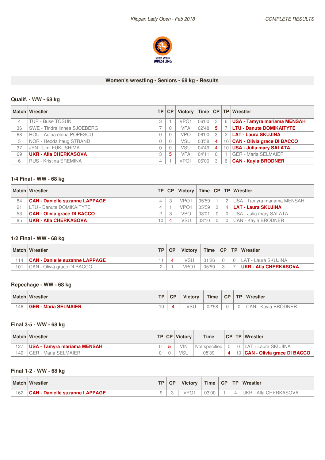

#### **Women's wrestling - Seniors - 68 kg - Results**

## **Qualif. - WW -68 kg**

|    | <b>Match Wrestler</b>         | TP.            | <b>CP</b> |                  |       |    |               | Victory   Time   CP   TP   Wrestler |
|----|-------------------------------|----------------|-----------|------------------|-------|----|---------------|-------------------------------------|
| 4  | <b>TUR - Buse TOSUN</b>       |                |           | VPO <sub>1</sub> | 06'00 | -3 | 6             | <b>USA - Tamyra mariama MENSAH</b>  |
| 36 | SWE - Tindra linnea SJOEBERG  |                |           | <b>VFA</b>       | 02'48 | 5  |               | <b>LTU - Danute DOMIKAITYTE</b>     |
| 68 | ROU - Adina elena POPESCU     |                |           | <b>VPO</b>       | 06'00 | 3  | $\mathcal{P}$ | LAT - Laura SKUJINA                 |
| 5  | NOR - Hedda haug STRAND       |                |           | <b>VSU</b>       | 03'58 | 4  | 10            | <b>CAN - Olivia grace DI BACCO</b>  |
| 37 | JPN - Umi FUKUSHIMA           |                |           | <b>VSU</b>       | 04'49 | 4  | 10            | <b>USA - Julia mary SALATA</b>      |
| 69 | <b>UKR - Alla CHERKASOVA</b>  |                | 5.        | <b>VFA</b>       | 04'11 |    |               | <b>GER - Maria SELMAIER</b>         |
| 6  | <b>RUS - Kristina EREMINA</b> | $\overline{4}$ |           | VPO <sub>1</sub> | 06'00 | -3 | 6             | <b>CAN - Kayla BRODNER</b>          |

## **1/4 Final - WW - 68 kg**

|    | Match Wrestler                        | TP | CP |                  |       |          |                | Victory   Time   CP   TP   Wrestler |
|----|---------------------------------------|----|----|------------------|-------|----------|----------------|-------------------------------------|
| 84 | <b>CAN - Danielle suzanne LAPPAGE</b> |    |    | VPO <sub>1</sub> | 05'59 |          |                | I USA - Tamyra mariama MENSAH       |
| 21 | LTU - Danute DOMIKAITYTE              |    |    | VPO <sub>1</sub> | 05'59 | $\Omega$ | $\overline{4}$ | <b>LAT - Laura SKUJINA</b>          |
| 53 | <b>CAN - Olivia grace DI BACCO</b>    |    |    | <b>VPO</b>       | 03'01 |          | $\Omega$       | USA - Julia mary SALATA             |
| 85 | <b>UKR - Alla CHERKASOVA</b>          |    |    | <b>VSU</b>       | 03'10 |          | $\Omega$       | CAN - Kavla BRODNER                 |

## **1/2 Final - WW - 68 kg**

|     | <b>Match Wrestler</b>          | TD. | CP | <b>Victory</b> |       |  | Time   CP   TP   Wrestler     |
|-----|--------------------------------|-----|----|----------------|-------|--|-------------------------------|
|     | CAN - Danielle suzanne LAPPAGE |     |    | VSU            | 01'26 |  | ∣LAT - Laura SKUJINA          |
| 101 | CAN - Olivia grace DI BACCO    |     |    | VPO1           | 05'59 |  | <b>IUKR - Alla CHERKASOVA</b> |

## **Repechage - WW - 68 kg**

| <b>Match</b> | Wrestler                    | <b>TD</b> | <b>CP</b> | <b>Victory</b> | <b>Time</b> | CP | <b>TP</b> | <b>Wrestler</b>                 |
|--------------|-----------------------------|-----------|-----------|----------------|-------------|----|-----------|---------------------------------|
| 46           | <b>GER - Maria SELMAIER</b> | ◡         |           | <b>VSL</b>     | 02'58       |    |           | <b>BRODNER</b><br>ت AN<br>Kavla |

#### **Final 3-5 - WW -68 kg**

|     | <b>Match Wrestler</b>               |  | <b>TP CP Victory</b> | <b>Time</b>   |     | <b>CP TP Wrestler</b>          |
|-----|-------------------------------------|--|----------------------|---------------|-----|--------------------------------|
| 127 | <b>IUSA - Tamyra mariama MENSAH</b> |  | VIN                  | Not specified |     | 0 LAT - Laura SKUJINA          |
| 40  | l GER - Maria SELMAIER              |  | VSL                  | 05'39         | 4 I | 10 CAN - Olivia grace DI BACCO |

## **Final 1-2 - WW -68 kg**

| <b>Match</b> | Wrestler                                   | <b>TP</b> | CP | <b>Victory</b>                  | <b>Time</b> | <b>CP</b> | <b>TP</b> | <b>Wrestler</b>         |
|--------------|--------------------------------------------|-----------|----|---------------------------------|-------------|-----------|-----------|-------------------------|
| 162          | CAN<br><b>1 - Danielle suzanne LAPPAGE</b> |           |    | VPO <sup>1</sup><br>$\check{ }$ | 03'00       |           | ⊥         | Alla CHERKASOVA<br>JKR. |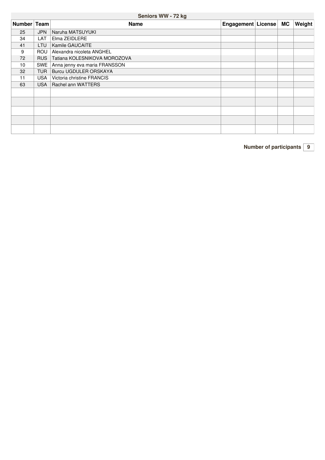## **Seniors WW -72 kg**

| Number Team |            | <b>Name</b>                   | Engagement   License | <b>MC</b> | Weight |
|-------------|------------|-------------------------------|----------------------|-----------|--------|
| 25          | <b>JPN</b> | Naruha MATSUYUKI              |                      |           |        |
| 34          | LAT        | Elma ZEIDLERE                 |                      |           |        |
| 41          | LTU        | <b>Kamile GAUCAITE</b>        |                      |           |        |
| 9           | <b>ROU</b> | Alexandra nicoleta ANGHEL     |                      |           |        |
| 72          | <b>RUS</b> | Tatiana KOLESNIKOVA MOROZOVA  |                      |           |        |
| 10          | <b>SWE</b> | Anna jenny eva maria FRANSSON |                      |           |        |
| 32          | <b>TUR</b> | Burcu UGDULER ORSKAYA         |                      |           |        |
| 11          | <b>USA</b> | Victoria christine FRANCIS    |                      |           |        |
| 63          |            | USA   Rachel ann WATTERS      |                      |           |        |
|             |            |                               |                      |           |        |
|             |            |                               |                      |           |        |
|             |            |                               |                      |           |        |
|             |            |                               |                      |           |        |
|             |            |                               |                      |           |        |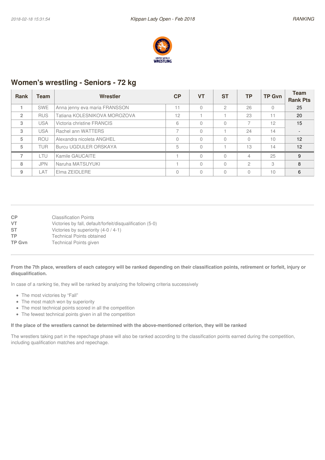

## **Women's wrestling - Seniors - 72 kg**

| <b>Rank</b>    | Team       | Wrestler                      | <b>CP</b>                | <b>VT</b> | <b>ST</b>    | <b>TP</b>                | <b>TP Gvn</b> | <b>Team</b><br><b>Rank Pts</b> |
|----------------|------------|-------------------------------|--------------------------|-----------|--------------|--------------------------|---------------|--------------------------------|
|                | <b>SWE</b> | Anna jenny eva maria FRANSSON | 11                       |           | $\mathbf{2}$ | 26                       | $\Omega$      | 25                             |
| $\overline{2}$ | <b>RUS</b> | Tatiana KOLESNIKOVA MOROZOVA  | 12                       |           |              | 23                       |               | 20                             |
| 3              | <b>USA</b> | Victoria christine FRANCIS    | 6                        | Ω         |              | $\overline{\phantom{a}}$ | 12            | 15                             |
| 3              | <b>USA</b> | Rachel ann WATTERS            | $\overline{\phantom{0}}$ |           |              | 24                       | 14            |                                |
| 5              | <b>ROU</b> | Alexandra nicoleta ANGHEL     | $\Omega$                 |           |              |                          | 10            | 12                             |
| 5              | <b>TUR</b> | <b>Burcu UGDULER ORSKAYA</b>  | 5                        | $\Omega$  |              | 13                       | 14            | 12                             |
| $\overline{ }$ | LTU        | Kamile GAUCAITE               |                          |           |              | $\overline{4}$           | 25            | 9                              |
| 8              | <b>JPN</b> | Naruha MATSUYUKI              |                          |           |              | $\mathcal{P}$            | 3             | 8                              |
| 9              | LAT        | Elma ZEIDLERE                 | $\Omega$                 | 0         |              |                          | 10            | 6                              |

| CP            | <b>Classification Points</b>                              |
|---------------|-----------------------------------------------------------|
| VT            | Victories by fall, default/forfeit/disqualification (5-0) |
| <b>ST</b>     | Victories by superiority (4-0 / 4-1)                      |
| TP            | <b>Technical Points obtained</b>                          |
| <b>TP Gvn</b> | <b>Technical Points given</b>                             |
|               |                                                           |

#### From the 7th place, wrestlers of each category will be ranked depending on their classification points, retirement or forfeit, injury or **disqualification.**

In case of a ranking tie, they will be ranked by analyzing the following criteria successively

- The most victories by "Fall"
- The most match won by superiority
- The most technical points scored in all the competition
- The fewest technical points given in all the competition

#### If the place of the wrestlers cannot be determined with the above-mentioned criterion, they will be ranked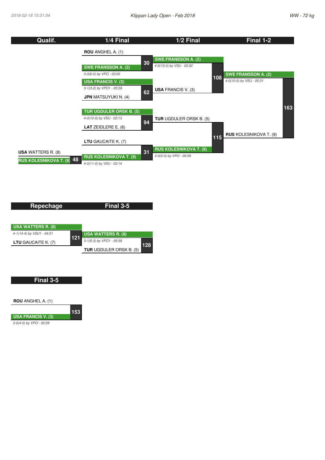

| Repechage                  |     | Final 3-5                      |     |
|----------------------------|-----|--------------------------------|-----|
|                            |     |                                |     |
| <b>USA WATTERS R. (8)</b>  |     |                                |     |
| 4-1(14-4) by VSU1 - 04:51  | 121 | <b>USA WATTERS R. (8)</b>      |     |
| <b>LTU</b> GAUCAITE K. (7) |     | 3-1(9-3) by VPO1 - 05:59       | 128 |
|                            |     | <b>TUR</b> UGDULER ORSK B. (5) |     |

#### **Final 3-5**



*3-0(4-0) by VPO - 05:59*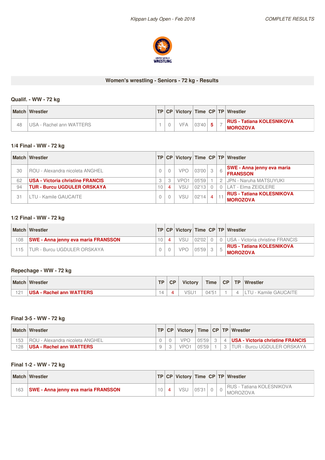

## **Women's wrestling - Seniors - 72 kg - Results**

## **Qualif. - WW -72 kg**

|    | <b>Match Wrestler</b>    |  |     |       |  | <b>TP CP Victory Time CP TP Wrestler</b>             |
|----|--------------------------|--|-----|-------|--|------------------------------------------------------|
| 48 | USA - Rachel ann WATTERS |  | VFA | 03'40 |  | <b>RUS - Tatiana KOLESNIKOVA</b><br><b>IMOROZOVA</b> |

#### **1/4 Final - WW - 72 kg**

| <b>Match</b> | Wrestler                                | TP. | CP |                  |        |                |                | Victory Time CP TP Wrestler                          |
|--------------|-----------------------------------------|-----|----|------------------|--------|----------------|----------------|------------------------------------------------------|
| 30           | ROU - Alexandra nicoleta ANGHEL         |     |    | <b>VPO</b>       | 03'00  |                | $\kappa$       | <b>SWE - Anna jenny eva maria</b><br><b>FRANSSON</b> |
| 62           | <b>USA - Victoria christine FRANCIS</b> |     | 3  | VPO <sub>1</sub> | 05'59  |                | 2 <sub>1</sub> | JPN - Naruha MATSUYUKI                               |
| 94           | <b>TUR - Burcu UGDULER ORSKAYA</b>      | 10  | 4  | VSU              | 02'131 |                |                | LAT - Elma ZEIDLERE                                  |
| 31           | LTU - Kamile GAUCAITE                   |     |    | VSU              | 02'14  | $\overline{4}$ |                | <b>RUS - Tatiana KOLESNIKOVA</b><br><b>MOROZOVA</b>  |

#### **1/2 Final - WW - 72 kg**

|        | <b>Match Wrestler</b>                      |  |     |       |  | <b>TP CP Victory Time CP TP Wrestler</b>            |
|--------|--------------------------------------------|--|-----|-------|--|-----------------------------------------------------|
| 108    | <b>SWE - Anna jenny eva maria FRANSSON</b> |  | VSU | 02'02 |  | 0 IUSA - Victoria christine FRANCIS                 |
| $15 -$ | TUR - Burcu UGDULER ORSKAYA                |  | VPC | 10559 |  | <b>RUS - Tatiana KOLESNIKOVA</b><br><b>MOROZOVA</b> |

## **Repechage - WW - 72 kg**

| <b>Match</b> | Wrestler                 | <b>TD</b> | CP | <b>Victory</b>   | <b>Time</b> | <b>CP</b> | <b>TP</b> | Wrestler          |
|--------------|--------------------------|-----------|----|------------------|-------------|-----------|-----------|-------------------|
| 121          | USA - Rachel ann WATTERS | 4         |    | VSU <sup>-</sup> | 04'51       |           |           | - Kamile GAUCAITE |

## **Final 3-5 - WW -72 kg**

|     | <b>Match Wrestler</b>             |  |            |       |  | TP   CP   Victory   Time   CP   TP   Wrestler |
|-----|-----------------------------------|--|------------|-------|--|-----------------------------------------------|
| 153 | ' ROU - Alexandra nicoleta ANGHEL |  | <b>VPO</b> | 05'59 |  | 4 <b>USA - Victoria christine FRANCIS</b>     |
| 128 | <b>USA - Rachel ann WATTERS</b>   |  | VPO1       | 05'59 |  | TUR - Burcu UGDULER ORSKAYA                   |

## **Final 1-2 - WW -72 kg**

|     | <b>Match Wrestler</b>                      |  |     |       |  | <b>TP CP Victory Time CP TP Wrestler</b>     |
|-----|--------------------------------------------|--|-----|-------|--|----------------------------------------------|
| 163 | <b>SWE - Anna jenny eva maria FRANSSON</b> |  | VSL | 05'31 |  | RUS - Tatiana KOLESNIKOVA<br><b>MOROZOVA</b> |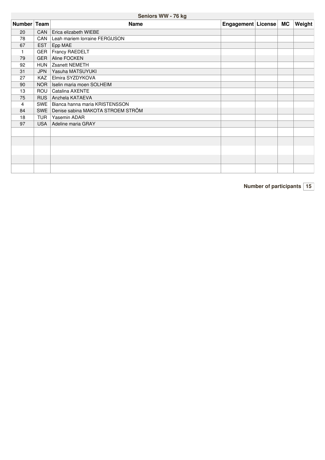## **Seniors WW -76 kg**

| Number Team |            | <b>Name</b>                          | Engagement License | MC | <b>Weight</b> |
|-------------|------------|--------------------------------------|--------------------|----|---------------|
| 20          | CAN        | Erica elizabeth WIEBE                |                    |    |               |
| 78          | CAN        | Leah mariem lorraine FERGUSON        |                    |    |               |
| 67          | <b>EST</b> | Epp MAE                              |                    |    |               |
|             | GER        | <b>Francy RAEDELT</b>                |                    |    |               |
| 79          | <b>GER</b> | Aline FOCKEN                         |                    |    |               |
| 92          | <b>HUN</b> | Zsanett NEMETH                       |                    |    |               |
| 31          | <b>JPN</b> | Yasuha MATSUYUKI                     |                    |    |               |
| 27          | <b>KAZ</b> | Elmira SYZDYKOVA                     |                    |    |               |
| 90          | NOR        | Iselin maria moen SOLHEIM            |                    |    |               |
| 13          | ROU        | Catalina AXENTE                      |                    |    |               |
| 75          | <b>RUS</b> | Anzhela KATAEVA                      |                    |    |               |
| 4           |            | SWE   Bianca hanna maria KRISTENSSON |                    |    |               |
| 84          | <b>SWE</b> | Denise sabina MAKOTA STROEM STRÖM    |                    |    |               |
| 18          | <b>TUR</b> | Yasemin ADAR                         |                    |    |               |
| 97          | <b>USA</b> | Adeline maria GRAY                   |                    |    |               |
|             |            |                                      |                    |    |               |
|             |            |                                      |                    |    |               |
|             |            |                                      |                    |    |               |
|             |            |                                      |                    |    |               |
|             |            |                                      |                    |    |               |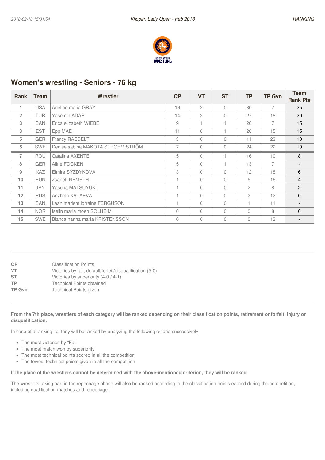

## **Women's wrestling - Seniors - 76 kg**

| <b>Rank</b>    | Team       | Wrestler                          | CP       | <b>VT</b>      | <b>ST</b> | <b>TP</b>      | <b>TP Gvn</b>  | <b>Team</b>     |
|----------------|------------|-----------------------------------|----------|----------------|-----------|----------------|----------------|-----------------|
|                |            |                                   |          |                |           |                |                | <b>Rank Pts</b> |
| 1              | <b>USA</b> | Adeline maria GRAY                | 16       | $\overline{c}$ | $\bigcap$ | 30             | 7              | 25              |
| $\overline{2}$ | <b>TUR</b> | Yasemin ADAR                      | 14       | $\mathfrak{D}$ | $\bigcap$ | 27             | 18             | 20              |
| 3              | CAN        | Erica elizabeth WIEBE             | 9        |                |           | 26             | $\overline{7}$ | 15              |
| 3              | <b>EST</b> | Epp MAE                           | 11       | $\Omega$       |           | 26             | 15             | 15              |
| 5              | <b>GER</b> | Francy RAEDELT                    | 3        | $\Omega$       | $\bigcap$ | 11             | 23             | 10              |
| 5              | <b>SWE</b> | Denise sabina MAKOTA STROEM STRÖM | 7        | $\Omega$       | $\Omega$  | 24             | 22             | 10              |
| 7              | <b>ROU</b> | Catalina AXENTE                   | 5        | $\Omega$       |           | 16             | 10             | 8               |
| 8              | <b>GER</b> | Aline FOCKEN                      | 5        | $\Omega$       |           | 13             | $\overline{7}$ |                 |
| 9              | <b>KAZ</b> | Elmira SYZDYKOVA                  | 3        | $\Omega$       | $\bigcap$ | 12             | 18             | 6               |
| 10             | <b>HUN</b> | Zsanett NEMETH                    |          | $\Omega$       | $\bigcap$ | 5              | 16             | $\overline{4}$  |
| 11             | <b>JPN</b> | Yasuha MATSUYUKI                  |          | $\Omega$       | $\bigcap$ | 2              | 8              | 2               |
| 12             | <b>RUS</b> | Anzhela KATAEVA                   |          | $\Omega$       | $\Omega$  | $\mathfrak{D}$ | 12             | $\Omega$        |
| 13             | <b>CAN</b> | Leah mariem lorraine FERGUSON     |          | $\Omega$       | $\bigcap$ |                | 11             |                 |
| 14             | <b>NOR</b> | Iselin maria moen SOLHEIM         | $\Omega$ | $\Omega$       | $\bigcap$ | $\bigcap$      | 8              | $\Omega$        |
| 15             | <b>SWE</b> | Bianca hanna maria KRISTENSSON    | $\Omega$ | $\Omega$       | $\bigcap$ | $\Omega$       | 13             |                 |

| <b>CP</b><br>VT. | <b>Classification Points</b><br>Victories by fall, default/forfeit/disqualification (5-0) |
|------------------|-------------------------------------------------------------------------------------------|
| <b>ST</b>        | Victories by superiority (4-0 / 4-1)                                                      |
| <b>TP</b>        | <b>Technical Points obtained</b>                                                          |
| <b>TP Gvn</b>    | <b>Technical Points given</b>                                                             |
|                  |                                                                                           |

#### From the 7th place, wrestlers of each category will be ranked depending on their classification points, retirement or forfeit, injury or **disqualification.**

In case of a ranking tie, they will be ranked by analyzing the following criteria successively

- The most victories by "Fall"
- The most match won by superiority
- The most technical points scored in all the competition
- The fewest technical points given in all the competition

#### If the place of the wrestlers cannot be determined with the above-mentioned criterion, they will be ranked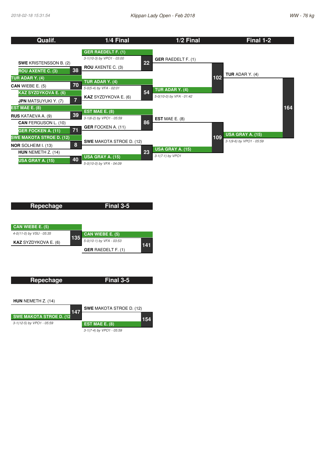| Qualif.                                                        | 1/4 Final                                           | 1/2 Final                 | Final 1-2                                                  |
|----------------------------------------------------------------|-----------------------------------------------------|---------------------------|------------------------------------------------------------|
|                                                                | <b>GER RAEDELT F. (1)</b>                           |                           |                                                            |
| <b>SWE KRISTENSSON B. (2)</b>                                  | 3-1(10-3) by VPO1 - 03:00<br>22                     | <b>GER RAEDELT F. (1)</b> |                                                            |
| 38<br><b>ROU AXENTE C. (3)</b>                                 | <b>ROU</b> AXENTE C. (3)                            |                           | <b>TUR</b> ADAR Y. $(4)$                                   |
| <b>TUR ADAR Y. (4)</b>                                         | TUR ADAR Y. (4)                                     |                           | 102                                                        |
| 70<br><b>CAN</b> WIEBE E. $(5)$<br><b>KAZ SYZDYKOVA E. (6)</b> | 5-0(5-4) by VFA - 02:01<br>54                       | TUR ADAR Y. (4)           |                                                            |
| $\overline{7}$<br><b>JPN MATSUYUKI Y. (7)</b>                  | <b>KAZ SYZDYKOVA E. (6)</b>                         | 5-0(10-0) by VFA - 01:42  |                                                            |
| <b>EST MAE E. (8)</b>                                          | <b>EST MAE E. (8)</b>                               |                           | 164                                                        |
| 39<br><b>RUS KATAEVA A. (9)</b><br><b>CAN FERGUSON L. (10)</b> | 3-1(6-2) by VPO1 - 05:59<br>86                      | <b>EST MAE E.</b> $(8)$   |                                                            |
| 71<br><b>GER FOCKEN A. (11)</b>                                | <b>GER FOCKEN A. (11)</b>                           |                           |                                                            |
| <b>SWE MAKOTA STROE D. (12)</b>                                | <b>SWE MAKOTA STROE D. (12)</b>                     |                           | <b>USA GRAY A. (15)</b><br>109<br>3-1(9-6) by VPO1 - 05:59 |
| 8<br><b>NOR SOLHEIM I. (13)</b><br>HUN NEMETH Z. (14)          | 23                                                  | <b>USA GRAY A. (15)</b>   |                                                            |
| 40<br>USA GRAY A. (15)                                         | <b>USA GRAY A. (15)</b><br>5-0(10-0) by VFA - 04:09 | 3-1(7-1) by VPO1          |                                                            |

| Repechage                   |     | Final 3-5                 |     |
|-----------------------------|-----|---------------------------|-----|
| CAN WIEBE E. (5)            |     |                           |     |
| 4-0(11-0) by VSU - 05:35    |     | CAN WIEBE E. (5)          |     |
| <b>KAZ</b> SYZDYKOVA E. (6) | 135 | 5-0(10-1) by VFA - 03:53  | 141 |
|                             |     | <b>GER RAEDELT F. (1)</b> |     |

| Repechage                       | Final 3-5                       |     |
|---------------------------------|---------------------------------|-----|
|                                 |                                 |     |
| <b>HUN</b> NEMETH $Z. (14)$     |                                 |     |
| 147                             | <b>SWE MAKOTA STROE D. (12)</b> |     |
| <b>SWE MAKOTA STROE D. (12)</b> |                                 | 154 |
| 3-1(12-5) by VPO1 - 05:59       | EST MAE $E. (8)$                |     |

*3-1(7-4) by VPO1 - 05:59*